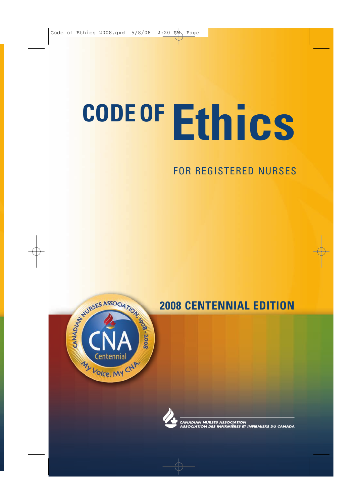# **Ethics CODE OF**

# FOR REGISTERED NURSES



# **2008 CENTENNIAL EDITION**



**CANADIAN NURSES ASSOCIATION** ASSOCIATION DES INFIRMIÈRES ET INFIRMIERS DU CANADA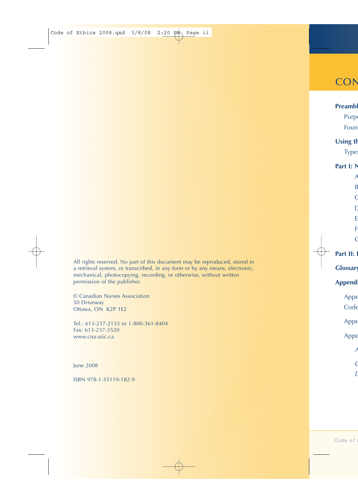All rights reserved. No part of this document may be reproduced, stored in a retrieval system, or transcribed, in any form or by any means, electronic, mechanical, photocopying, recording, or otherwise, without written permission of the publisher.

© Canadian Nurses Association 50 Driveway Ottawa, ON K2P 1E2

Tel.: 613-237-2133 or 1-800-361-8404 Fax: 613-237-3520 www.cna-aiic.ca

June 2008

ISBN 978-1-55119-182-9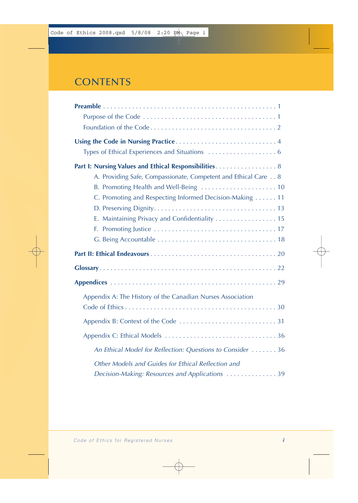# **CONTENTS**

| A. Providing Safe, Compassionate, Competent and Ethical Care 8 |
|----------------------------------------------------------------|
| B. Promoting Health and Well-Being  10                         |
| C. Promoting and Respecting Informed Decision-Making  11       |
|                                                                |
| E. Maintaining Privacy and Confidentiality  15                 |
|                                                                |
|                                                                |
|                                                                |
|                                                                |
|                                                                |
| Appendix A: The History of the Canadian Nurses Association     |
|                                                                |
|                                                                |
|                                                                |
| An Ethical Model for Reflection: Questions to Consider 36      |
| Other Models and Guides for Ethical Reflection and             |
| Decision-Making: Resources and Applications  39                |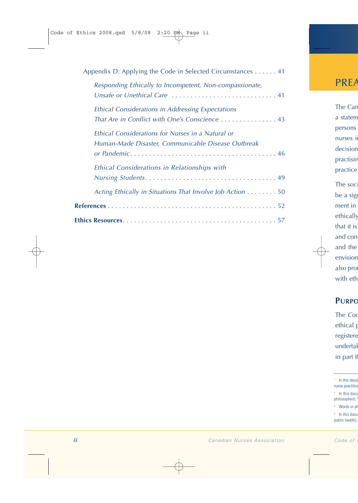| Appendix D: Applying the Code in Selected Circumstances 41                                              |
|---------------------------------------------------------------------------------------------------------|
| Responding Ethically to Incompetent, Non-compassionate,                                                 |
| Ethical Considerations in Addressing Expectations                                                       |
| Ethical Considerations for Nurses in a Natural or<br>Human-Made Disaster, Communicable Disease Outbreak |
| Ethical Considerations in Relationships with                                                            |
| Acting Ethically in Situations That Involve Job Action 50                                               |
|                                                                                                         |
|                                                                                                         |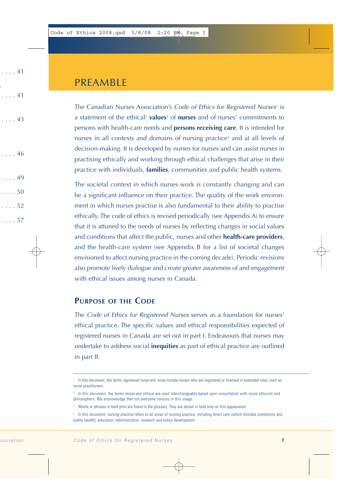# **PREAMBLE**

The Canadian Nurses Association's *Code of Ethics for Registered Nurses<sup>1</sup>* is a statement of the ethical<sup>2</sup> **values**<sup>3</sup> of **nurses** and of nurses' commitments to persons with health-care needs and **persons receiving care**. It is intended for nurses in all contexts and domains of nursing practice<sup>4</sup> and at all levels of decision-making. It is developed by nurses for nurses and can assist nurses in practising ethically and working through ethical challenges that arise in their practice with individuals, **families**, communities and public health systems.

The societal context in which nurses work is constantly changing and can be a significant influence on their practice. The quality of the work environment in which nurses practise is also fundamental to their ability to practise ethically. The code of ethics is revised periodically (see Appendix A) to ensure that it is attuned to the needs of nurses by reflecting changes in social values and conditions that affect the public, nurses and other **health-care providers**, and the health-care system (see Appendix B for a list of societal changes envisioned to affect nursing practice in the coming decade). Periodic revisions also promote lively dialogue and create greater awareness of and engagement with ethical issues among nurses in Canada.

#### **PURPOSE OF THE CODE**

The *Code of Ethics for Registered Nurses* serves as a foundation for nurses' ethical practice. The specific values and ethical responsibilities expected of registered nurses in Canada are set out in part I. Endeavours that nurses may undertake to address social **inequities** as part of ethical practice are outlined in part II.

<sup>&</sup>lt;sup>1</sup> In this document, the terms *registered nurse* and *nurse* include nurses who are registered or licensed in extended roles, such as nurse practitioners.

<sup>&</sup>lt;sup>2</sup> In this document, the terms *moral* and *ethical* are used interchangeably based upon consultation with nurse ethicists and philosophers. We acknowledge that not everyone concurs in this usage.

<sup>&</sup>lt;sup>3</sup> Words or phrases in bold print are found in the glossary. They are shown in bold only on first appearance.

<sup>&</sup>lt;sup>4</sup> In this document, *nursing practice* refers to all areas of nursing practice, including direct care (which includes community and public health), education, administration, research and policy development.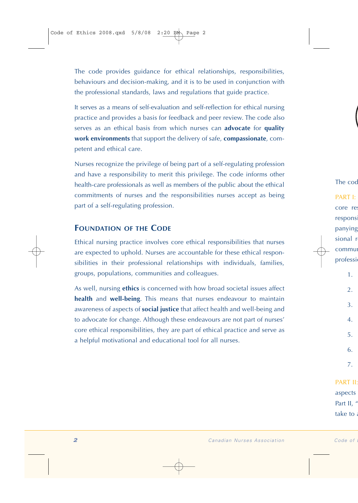The code provides guidance for ethical relationships, responsibilities, behaviours and decision-making, and it is to be used in conjunction with the professional standards, laws and regulations that guide practice.

It serves as a means of self-evaluation and self-reflection for ethical nursing practice and provides a basis for feedback and peer review. The code also serves as an ethical basis from which nurses can **advocate** for **quality work environments** that support the delivery of safe, **compassionate**, competent and ethical care.

Nurses recognize the privilege of being part of a self-regulating profession and have a responsibility to merit this privilege. The code informs other health-care professionals as well as members of the public about the ethical commitments of nurses and the responsibilities nurses accept as being part of a self-regulating profession.

## **FOUNDATION OF THE CODE**

Ethical nursing practice involves core ethical responsibilities that nurses are expected to uphold. Nurses are accountable for these ethical responsibilities in their professional relationships with individuals, families, groups, populations, communities and colleagues.

As well, nursing **ethics** is concerned with how broad societal issues affect **health** and **well-being**. This means that nurses endeavour to maintain awareness of aspects of **social justice** that affect health and well-being and to advocate for change. Although these endeavours are not part of nurses' core ethical responsibilities, they are part of ethical practice and serve as a helpful motivational and educational tool for all nurses.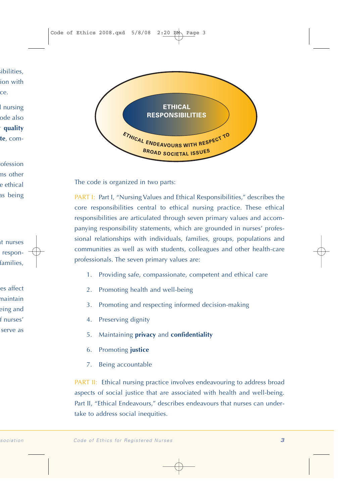

The code is organized in two parts:

PART I: Part I, "Nursing Values and Ethical Responsibilities," describes the core responsibilities central to ethical nursing practice. These ethical responsibilities are articulated through seven primary values and accompanying responsibility statements, which are grounded in nurses' professional relationships with individuals, families, groups, populations and communities as well as with students, colleagues and other health-care professionals. The seven primary values are:

- 1. Providing safe, compassionate, competent and ethical care
- 2. Promoting health and well-being
- 3. Promoting and respecting informed decision-making
- 4. Preserving dignity
- 5. Maintaining **privacy** and **confidentiality**
- 6. Promoting **justice**
- 7. Being accountable

PART II: Ethical nursing practice involves endeavouring to address broad aspects of social justice that are associated with health and well-being. Part II, "Ethical Endeavours," describes endeavours that nurses can undertake to address social inequities.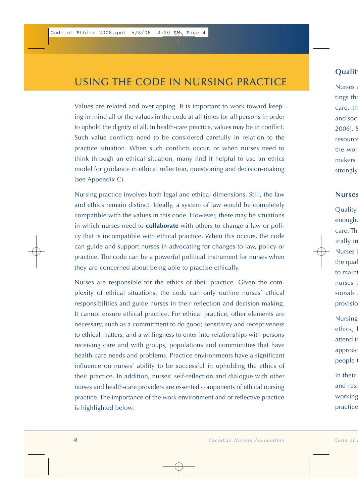# USING THE CODE IN NURSING PRACTICE

Values are related and overlapping. It is important to work toward keeping in mind all of the values in the code at all times for all persons in order to uphold the dignity of all. In health-care practice, values may be in conflict. Such value conflicts need to be considered carefully in relation to the practice situation. When such conflicts occur, or when nurses need to think through an ethical situation, many find it helpful to use an ethics model for guidance in ethical reflection, questioning and decision-making (see Appendix C).

Nursing practice involves both legal and ethical dimensions. Still, the law and ethics remain distinct. Ideally, a system of law would be completely compatible with the values in this code. However, there may be situations in which nurses need to **collaborate** with others to change a law or policy that is incompatible with ethical practice. When this occurs, the code can guide and support nurses in advocating for changes to law, policy or practice. The code can be a powerful political instrument for nurses when they are concerned about being able to practise ethically.

Nurses are responsible for the ethics of their practice. Given the complexity of ethical situations, the code can only outline nurses' ethical responsibilities and guide nurses in their reflection and decision-making. It cannot ensure ethical practice. For ethical practice, other elements are necessary, such as a commitment to do good; sensitivity and receptiveness to ethical matters; and a willingness to enter into relationships with persons receiving care and with groups, populations and communities that have health-care needs and problems. Practice environments have a significant influence on nurses' ability to be successful in upholding the ethics of their practice. In addition, nurses' self-reflection and dialogue with other nurses and health-care providers are essential components of ethical nursing practice. The importance of the work environment and of reflective practice is highlighted below.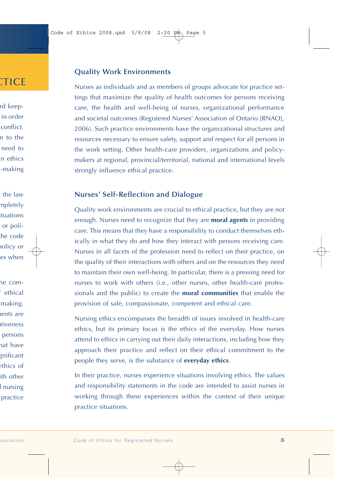## **Quality Work Environments**

Nurses as individuals and as members of groups advocate for practice settings that maximize the quality of health outcomes for persons receiving care, the health and well-being of nurses, organizational performance and societal outcomes (Registered Nurses' Association of Ontario [RNAO], 2006). Such practice environments have the organizational structures and resources necessary to ensure safety, support and respect for all persons in the work setting. Other health-care providers, organizations and policymakers at regional, provincial/territorial, national and international levels strongly influence ethical practice.

#### **Nurses' Self-Reflection and Dialogue**

Quality work environments are crucial to ethical practice, but they are not enough. Nurses need to recognize that they are **moral agents** in providing care. This means that they have a responsibility to conduct themselves ethically in what they do and how they interact with persons receiving care. Nurses in all facets of the profession need to reflect on their practice, on the quality of their interactions with others and on the resources they need to maintain their own well-being. In particular, there is a pressing need for nurses to work with others (i.e., other nurses, other health-care professionals and the public) to create the **moral communities** that enable the provision of safe, compassionate, competent and ethical care.

Nursing ethics encompasses the breadth of issues involved in health-care ethics, but its primary focus is the ethics of the everyday. How nurses attend to ethics in carrying out their daily interactions, including how they approach their practice and reflect on their ethical commitment to the people they serve, is the substance of **everyday ethics**.

In their practice, nurses experience situations involving ethics. The values and responsibility statements in the code are intended to assist nurses in working through these experiences within the context of their unique practice situations.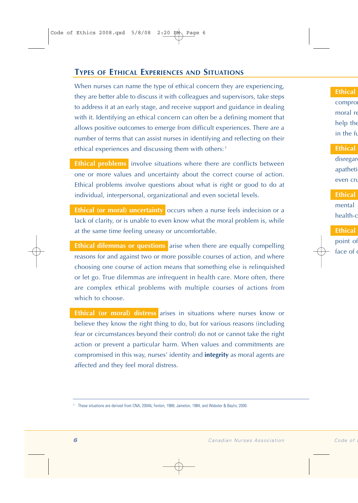## **TYPES OF ETHICAL EXPERIENCES AND SITUATIONS**

When nurses can name the type of ethical concern they are experiencing, they are better able to discuss it with colleagues and supervisors, take steps to address it at an early stage, and receive support and guidance in dealing with it. Identifying an ethical concern can often be a defining moment that allows positive outcomes to emerge from difficult experiences. There are a number of terms that can assist nurses in identifying and reflecting on their ethical experiences and discussing them with others:<sup>5</sup>

**Ethical problems** involve situations where there are conflicts between one or more values and uncertainty about the correct course of action. Ethical problems involve questions about what is right or good to do at individual, interpersonal, organizational and even societal levels.

**Ethical (or moral) uncertainty** occurs when a nurse feels indecision or a lack of clarity, or is unable to even know what the moral problem is, while at the same time feeling uneasy or uncomfortable.

**Ethical dilemmas or questions** arise when there are equally compelling reasons for and against two or more possible courses of action, and where choosing one course of action means that something else is relinquished or let go. True dilemmas are infrequent in health care. More often, there are complex ethical problems with multiple courses of actions from which to choose.

**Ethical (or moral) distress** arises in situations where nurses know or believe they know the right thing to do, but for various reasons (including fear or circumstances beyond their control) do not or cannot take the right action or prevent a particular harm. When values and commitments are compromised in this way, nurses' identity and **integrity** as moral agents are affected and they feel moral distress.

<sup>5</sup> These situations are derived from CNA, 2004b; Fenton, 1988; Jameton, 1984; and Webster & Baylis, 2000.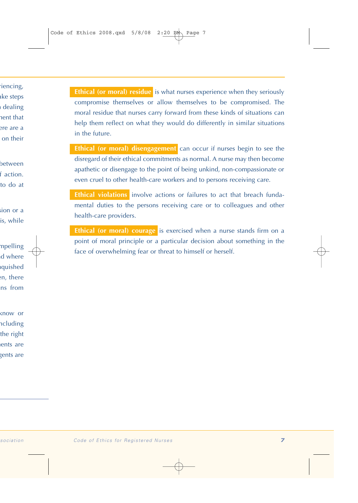**Ethical (or moral) residue** is what nurses experience when they seriously compromise themselves or allow themselves to be compromised. The moral residue that nurses carry forward from these kinds of situations can help them reflect on what they would do differently in similar situations in the future.

**Ethical (or moral) disengagement** can occur if nurses begin to see the disregard of their ethical commitments as normal. A nurse may then become apathetic or disengage to the point of being unkind, non-compassionate or even cruel to other health-care workers and to persons receiving care.

**Ethical violations** involve actions or failures to act that breach fundamental duties to the persons receiving care or to colleagues and other health-care providers.

**Ethical (or moral) courage** is exercised when a nurse stands firm on a point of moral principle or a particular decision about something in the face of overwhelming fear or threat to himself or herself.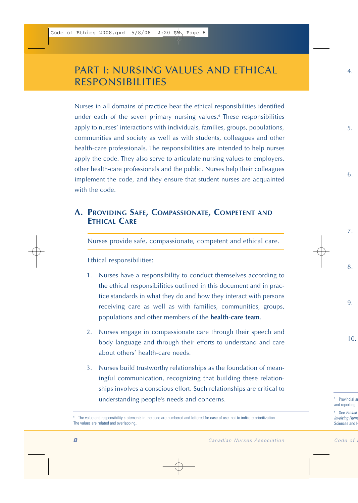# PART I: NURSING VALUES AND ETHICAL **RESPONSIBILITIES**

Nurses in all domains of practice bear the ethical responsibilities identified under each of the seven primary nursing values.6 These responsibilities apply to nurses' interactions with individuals, families, groups, populations, communities and society as well as with students, colleagues and other health-care professionals. The responsibilities are intended to help nurses apply the code. They also serve to articulate nursing values to employers, other health-care professionals and the public. Nurses help their colleagues implement the code, and they ensure that student nurses are acquainted with the code.

## **A. PROVIDING SAFE, COMPASSIONATE, COMPETENT AND ETHICAL CARE**

Nurses provide safe, compassionate, competent and ethical care.

- 1. Nurses have a responsibility to conduct themselves according to the ethical responsibilities outlined in this document and in practice standards in what they do and how they interact with persons receiving care as well as with families, communities, groups, populations and other members of the **health-care team**.
- 2. Nurses engage in compassionate care through their speech and body language and through their efforts to understand and care about others' health-care needs.
- 3. Nurses build trustworthy relationships as the foundation of meaningful communication, recognizing that building these relationships involves a conscious effort. Such relationships are critical to understanding people's needs and concerns.

<sup>&</sup>lt;sup>6</sup> The value and responsibility statements in the code are numbered and lettered for ease of use, not to indicate prioritization. The values are related and overlapping..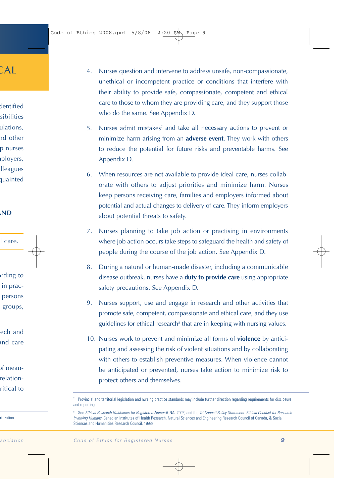- 4. Nurses question and intervene to address unsafe, non-compassionate, unethical or incompetent practice or conditions that interfere with their ability to provide safe, compassionate, competent and ethical care to those to whom they are providing care, and they support those who do the same. See Appendix D.
- 5. Nurses admit mistakes<sup>7</sup> and take all necessary actions to prevent or minimize harm arising from an **adverse event**. They work with others to reduce the potential for future risks and preventable harms. See Appendix D.
- 6. When resources are not available to provide ideal care, nurses collaborate with others to adjust priorities and minimize harm. Nurses keep persons receiving care, families and employers informed about potential and actual changes to delivery of care. They inform employers about potential threats to safety.
- 7. Nurses planning to take job action or practising in environments where job action occurs take steps to safeguard the health and safety of people during the course of the job action. See Appendix D.
- 8. During a natural or human-made disaster, including a communicable disease outbreak, nurses have a **duty to provide care** using appropriate safety precautions. See Appendix D.
- 9. Nurses support, use and engage in research and other activities that promote safe, competent, compassionate and ethical care, and they use guidelines for ethical research<sup>8</sup> that are in keeping with nursing values.
- 10. Nurses work to prevent and minimize all forms of **violence** by anticipating and assessing the risk of violent situations and by collaborating with others to establish preventive measures. When violence cannot be anticipated or prevented, nurses take action to minimize risk to protect others and themselves.

<sup>7</sup> Provincial and territorial legislation and nursing practice standards may include further direction regarding requirements for disclosure and reporting.

<sup>&</sup>lt;sup>8</sup> See Ethical Research Guidelines for Registered Nurses (CNA, 2002) and the Tri-Council Policy Statement: Ethical Conduct for Research Involving Humans (Canadian Institutes of Health Research, Natural Sciences and Engineering Research Council of Canada, & Social Sciences and Humanities Research Council, 1998).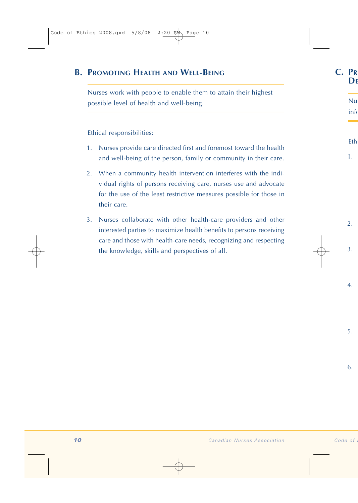## **B. PROMOTING HEALTH AND WELL-BEING**

Nurses work with people to enable them to attain their highest possible level of health and well-being.

- 1. Nurses provide care directed first and foremost toward the health and well-being of the person, family or community in their care.
- 2. When a community health intervention interferes with the individual rights of persons receiving care, nurses use and advocate for the use of the least restrictive measures possible for those in their care.
- 3. Nurses collaborate with other health-care providers and other interested parties to maximize health benefits to persons receiving care and those with health-care needs, recognizing and respecting the knowledge, skills and perspectives of all.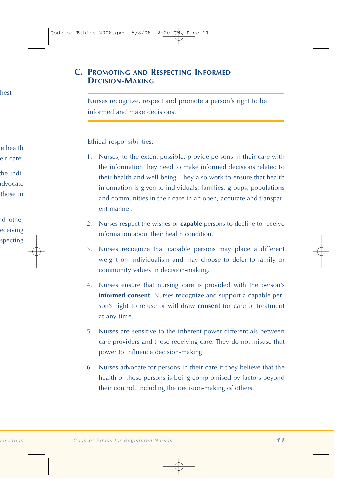## **C. PROMOTING AND RESPECTING INFORMED DECISION-MAKING**

Nurses recognize, respect and promote a person's right to be informed and make decisions.

- 1. Nurses, to the extent possible, provide persons in their care with the information they need to make informed decisions related to their health and well-being. They also work to ensure that health information is given to individuals, families, groups, populations and communities in their care in an open, accurate and transparent manner.
- 2. Nurses respect the wishes of **capable** persons to decline to receive information about their health condition.
- 3. Nurses recognize that capable persons may place a different weight on individualism and may choose to defer to family or community values in decision-making.
- 4. Nurses ensure that nursing care is provided with the person's **informed consent**. Nurses recognize and support a capable person's right to refuse or withdraw **consent** for care or treatment at any time.
- 5. Nurses are sensitive to the inherent power differentials between care providers and those receiving care. They do not misuse that power to influence decision-making.
- 6. Nurses advocate for persons in their care if they believe that the health of those persons is being compromised by factors beyond their control, including the decision-making of others.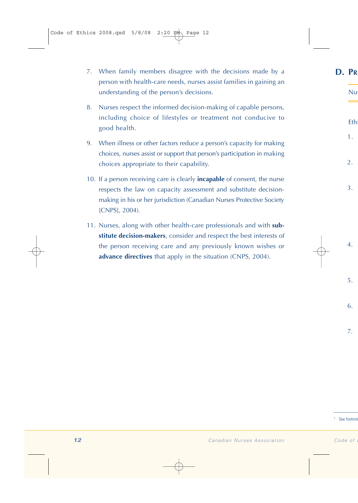- 7. When family members disagree with the decisions made by a person with health-care needs, nurses assist families in gaining an understanding of the person's decisions.
- 8. Nurses respect the informed decision-making of capable persons, including choice of lifestyles or treatment not conducive to good health.
- 9. When illness or other factors reduce a person's capacity for making choices, nurses assist or support that person's participation in making choices appropriate to their capability.
- 10. If a person receiving care is clearly **incapable** of consent, the nurse respects the law on capacity assessment and substitute decisionmaking in his or her jurisdiction (Canadian Nurses Protective Society [CNPS], 2004).
- 11. Nurses, along with other health-care professionals and with **substitute decision-makers**, consider and respect the best interests of the person receiving care and any previously known wishes or **advance directives** that apply in the situation (CNPS, 2004).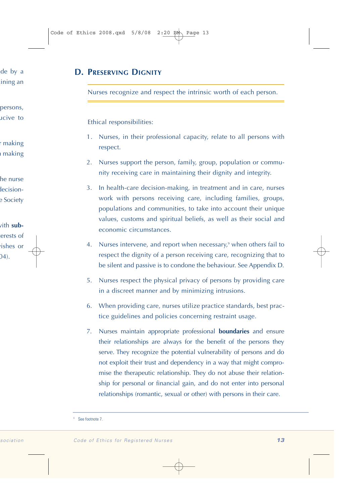## **D. PRESERVING DIGNITY**

Nurses recognize and respect the intrinsic worth of each person.

- 1. Nurses, in their professional capacity, relate to all persons with respect.
- 2. Nurses support the person, family, group, population or community receiving care in maintaining their dignity and integrity.
- 3. In health-care decision-making, in treatment and in care, nurses work with persons receiving care, including families, groups, populations and communities, to take into account their unique values, customs and spiritual beliefs, as well as their social and economic circumstances.
- 4. Nurses intervene, and report when necessary,<sup>9</sup> when others fail to respect the dignity of a person receiving care, recognizing that to be silent and passive is to condone the behaviour. See Appendix D.
- 5. Nurses respect the physical privacy of persons by providing care in a discreet manner and by minimizing intrusions.
- 6. When providing care, nurses utilize practice standards, best practice guidelines and policies concerning restraint usage.
- 7. Nurses maintain appropriate professional **boundaries** and ensure their relationships are always for the benefit of the persons they serve. They recognize the potential vulnerability of persons and do not exploit their trust and dependency in a way that might compromise the therapeutic relationship. They do not abuse their relationship for personal or financial gain, and do not enter into personal relationships (romantic, sexual or other) with persons in their care.

<sup>9</sup> See footnote 7.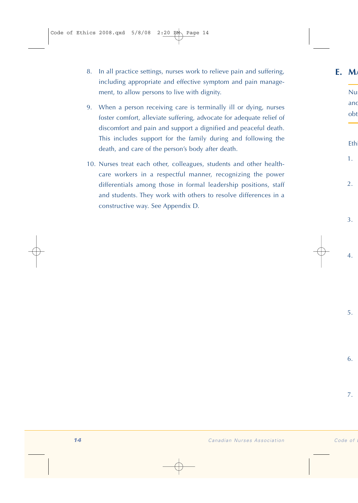- 8. In all practice settings, nurses work to relieve pain and suffering, including appropriate and effective symptom and pain management, to allow persons to live with dignity.
- 9. When a person receiving care is terminally ill or dying, nurses foster comfort, alleviate suffering, advocate for adequate relief of discomfort and pain and support a dignified and peaceful death. This includes support for the family during and following the death, and care of the person's body after death.
- 10. Nurses treat each other, colleagues, students and other healthcare workers in a respectful manner, recognizing the power differentials among those in formal leadership positions, staff and students. They work with others to resolve differences in a constructive way. See Appendix D.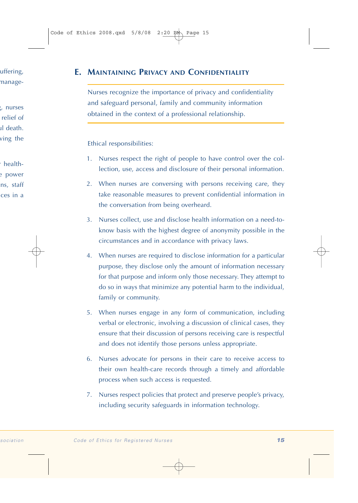## **E. MAINTAINING PRIVACY AND CONFIDENTIALITY**

Nurses recognize the importance of privacy and confidentiality and safeguard personal, family and community information obtained in the context of a professional relationship.

- 1. Nurses respect the right of people to have control over the collection, use, access and disclosure of their personal information.
- 2. When nurses are conversing with persons receiving care, they take reasonable measures to prevent confidential information in the conversation from being overheard.
- 3. Nurses collect, use and disclose health information on a need-toknow basis with the highest degree of anonymity possible in the circumstances and in accordance with privacy laws.
- 4. When nurses are required to disclose information for a particular purpose, they disclose only the amount of information necessary for that purpose and inform only those necessary. They attempt to do so in ways that minimize any potential harm to the individual, family or community.
- 5. When nurses engage in any form of communication, including verbal or electronic, involving a discussion of clinical cases, they ensure that their discussion of persons receiving care is respectful and does not identify those persons unless appropriate.
- 6. Nurses advocate for persons in their care to receive access to their own health-care records through a timely and affordable process when such access is requested.
- 7. Nurses respect policies that protect and preserve people's privacy, including security safeguards in information technology.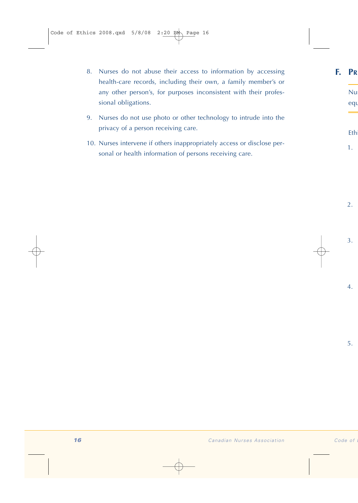- 8. Nurses do not abuse their access to information by accessing health-care records, including their own, a family member's or any other person's, for purposes inconsistent with their professional obligations.
- 9. Nurses do not use photo or other technology to intrude into the privacy of a person receiving care.
- 10. Nurses intervene if others inappropriately access or disclose personal or health information of persons receiving care.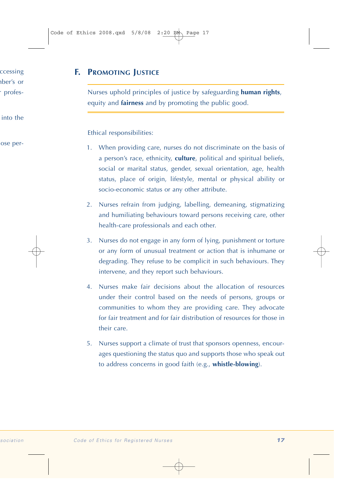## **F. PROMOTING JUSTICE**

Nurses uphold principles of justice by safeguarding **human rights**, equity and **fairness** and by promoting the public good.

- 1. When providing care, nurses do not discriminate on the basis of a person's race, ethnicity, **culture**, political and spiritual beliefs, social or marital status, gender, sexual orientation, age, health status, place of origin, lifestyle, mental or physical ability or socio-economic status or any other attribute.
- 2. Nurses refrain from judging, labelling, demeaning, stigmatizing and humiliating behaviours toward persons receiving care, other health-care professionals and each other.
- 3. Nurses do not engage in any form of lying, punishment or torture or any form of unusual treatment or action that is inhumane or degrading. They refuse to be complicit in such behaviours. They intervene, and they report such behaviours.
- 4. Nurses make fair decisions about the allocation of resources under their control based on the needs of persons, groups or communities to whom they are providing care. They advocate for fair treatment and for fair distribution of resources for those in their care.
- 5. Nurses support a climate of trust that sponsors openness, encourages questioning the status quo and supports those who speak out to address concerns in good faith (e.g., **whistle-blowing**).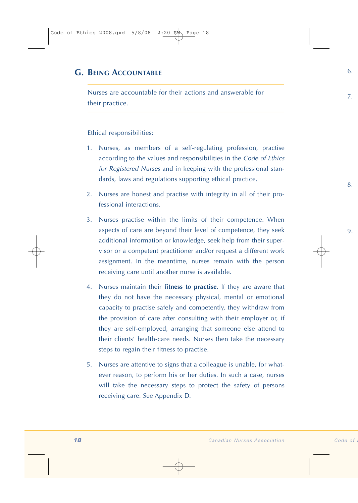## **G. BEING ACCOUNTABLE**

Nurses are accountable for their actions and answerable for their practice.

- 1. Nurses, as members of a self-regulating profession, practise according to the values and responsibilities in the *Code of Ethics for Registered Nurses* and in keeping with the professional standards, laws and regulations supporting ethical practice.
- 2. Nurses are honest and practise with integrity in all of their professional interactions.
- 3. Nurses practise within the limits of their competence. When aspects of care are beyond their level of competence, they seek additional information or knowledge, seek help from their supervisor or a competent practitioner and/or request a different work assignment. In the meantime, nurses remain with the person receiving care until another nurse is available.
- 4. Nurses maintain their **fitness to practise**. If they are aware that they do not have the necessary physical, mental or emotional capacity to practise safely and competently, they withdraw from the provision of care after consulting with their employer or, if they are self-employed, arranging that someone else attend to their clients' health-care needs. Nurses then take the necessary steps to regain their fitness to practise.
- 5. Nurses are attentive to signs that a colleague is unable, for whatever reason, to perform his or her duties. In such a case, nurses will take the necessary steps to protect the safety of persons receiving care. See Appendix D.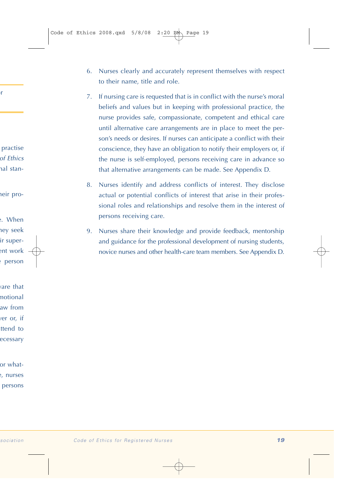- 6. Nurses clearly and accurately represent themselves with respect to their name, title and role.
- 7. If nursing care is requested that is in conflict with the nurse's moral beliefs and values but in keeping with professional practice, the nurse provides safe, compassionate, competent and ethical care until alternative care arrangements are in place to meet the person's needs or desires. If nurses can anticipate a conflict with their conscience, they have an obligation to notify their employers or, if the nurse is self-employed, persons receiving care in advance so that alternative arrangements can be made. See Appendix D.
- 8. Nurses identify and address conflicts of interest. They disclose actual or potential conflicts of interest that arise in their professional roles and relationships and resolve them in the interest of persons receiving care.
- 9. Nurses share their knowledge and provide feedback, mentorship and guidance for the professional development of nursing students, novice nurses and other health-care team members. See Appendix D.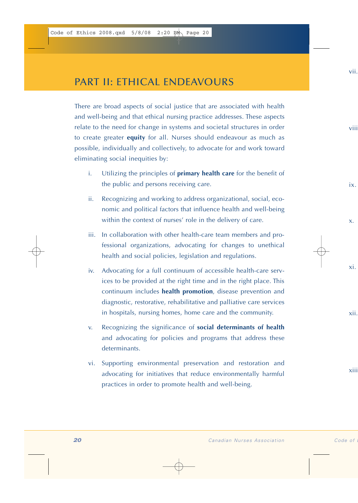# PART II: ETHICAL ENDEAVOURS

There are broad aspects of social justice that are associated with health and well-being and that ethical nursing practice addresses. These aspects relate to the need for change in systems and societal structures in order to create greater **equity** for all. Nurses should endeavour as much as possible, individually and collectively, to advocate for and work toward eliminating social inequities by:

- i. Utilizing the principles of **primary health care** for the benefit of the public and persons receiving care.
- ii. Recognizing and working to address organizational, social, economic and political factors that influence health and well-being within the context of nurses' role in the delivery of care.
- iii. In collaboration with other health-care team members and professional organizations, advocating for changes to unethical health and social policies, legislation and regulations.
- iv. Advocating for a full continuum of accessible health-care services to be provided at the right time and in the right place. This continuum includes **health promotion**, disease prevention and diagnostic, restorative, rehabilitative and palliative care services in hospitals, nursing homes, home care and the community.
- v. Recognizing the significance of **social determinants of health** and advocating for policies and programs that address these determinants.
- vi. Supporting environmental preservation and restoration and advocating for initiatives that reduce environmentally harmful practices in order to promote health and well-being.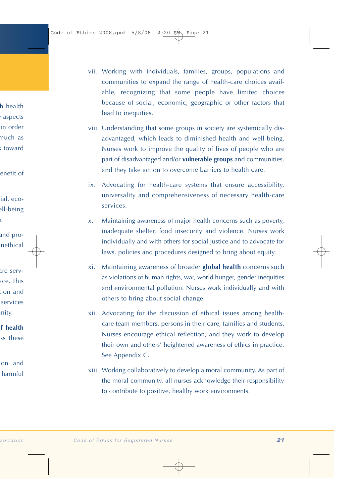- vii. Working with individuals, families, groups, populations and communities to expand the range of health-care choices available, recognizing that some people have limited choices because of social, economic, geographic or other factors that lead to inequities.
- viii. Understanding that some groups in society are systemically disadvantaged, which leads to diminished health and well-being. Nurses work to improve the quality of lives of people who are part of disadvantaged and/or **vulnerable groups** and communities, and they take action to overcome barriers to health care.
- ix. Advocating for health-care systems that ensure accessibility, universality and comprehensiveness of necessary health-care services.
- x. Maintaining awareness of major health concerns such as poverty, inadequate shelter, food insecurity and violence. Nurses work individually and with others for social justice and to advocate for laws, policies and procedures designed to bring about equity.
- xi. Maintaining awareness of broader **global health** concerns such as violations of human rights, war, world hunger, gender inequities and environmental pollution. Nurses work individually and with others to bring about social change.
- xii. Advocating for the discussion of ethical issues among healthcare team members, persons in their care, families and students. Nurses encourage ethical reflection, and they work to develop their own and others' heightened awareness of ethics in practice. See Appendix C.
- xiii. Working collaboratively to develop a moral community. As part of the moral community, all nurses acknowledge their responsibility to contribute to positive, healthy work environments.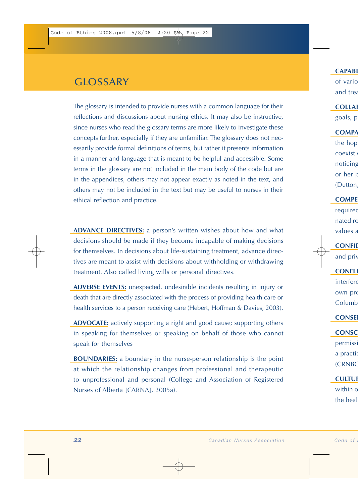# **GLOSSARY**

The glossary is intended to provide nurses with a common language for their reflections and discussions about nursing ethics. It may also be instructive, since nurses who read the glossary terms are more likely to investigate these concepts further, especially if they are unfamiliar. The glossary does not necessarily provide formal definitions of terms, but rather it presents information in a manner and language that is meant to be helpful and accessible. Some terms in the glossary are not included in the main body of the code but are in the appendices, others may not appear exactly as noted in the text, and others may not be included in the text but may be useful to nurses in their ethical reflection and practice.

**ADVANCE DIRECTIVES:** a person's written wishes about how and what decisions should be made if they become incapable of making decisions for themselves. In decisions about life-sustaining treatment, advance directives are meant to assist with decisions about withholding or withdrawing treatment. Also called living wills or personal directives.

**ADVERSE EVENTS:** unexpected, undesirable incidents resulting in injury or death that are directly associated with the process of providing health care or health services to a person receiving care (Hebert, Hoffman & Davies, 2003).

**ADVOCATE:** actively supporting a right and good cause; supporting others in speaking for themselves or speaking on behalf of those who cannot speak for themselves

**BOUNDARIES:** a boundary in the nurse-person relationship is the point at which the relationship changes from professional and therapeutic to unprofessional and personal (College and Association of Registered Nurses of Alberta [CARNA], 2005a).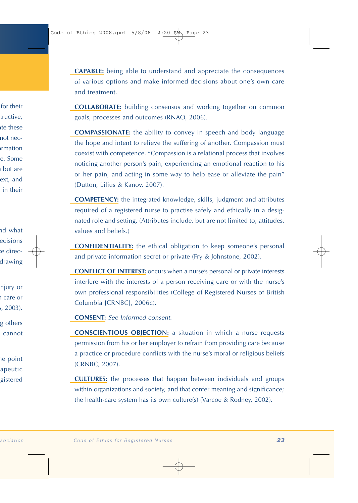**CAPABLE:** being able to understand and appreciate the consequences of various options and make informed decisions about one's own care and treatment.

**COLLABORATE:** building consensus and working together on common goals, processes and outcomes (RNAO, 2006).

**COMPASSIONATE:** the ability to convey in speech and body language the hope and intent to relieve the suffering of another. Compassion must coexist with competence. "Compassion is a relational process that involves noticing another person's pain, experiencing an emotional reaction to his or her pain, and acting in some way to help ease or alleviate the pain" (Dutton, Lilius & Kanov, 2007).

**COMPETENCY:** the integrated knowledge, skills, judgment and attributes required of a registered nurse to practise safely and ethically in a designated role and setting. (Attributes include, but are not limited to, attitudes, values and beliefs.)

**CONFIDENTIALITY:** the ethical obligation to keep someone's personal and private information secret or private (Fry & Johnstone, 2002).

**CONFLICT OF INTEREST:** occurs when a nurse's personal or private interests interfere with the interests of a person receiving care or with the nurse's own professional responsibilities (College of Registered Nurses of British Columbia [CRNBC], 2006c).

**CONSENT:** *See Informed consent.*

**CONSCIENTIOUS OBJECTION:** a situation in which a nurse requests permission from his or her employer to refrain from providing care because a practice or procedure conflicts with the nurse's moral or religious beliefs (CRNBC, 2007).

**CULTURES:** the processes that happen between individuals and groups within organizations and society, and that confer meaning and significance; the health-care system has its own culture(s) (Varcoe & Rodney, 2002).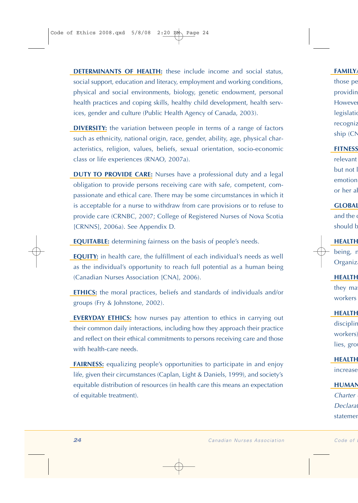**DETERMINANTS OF HEALTH:** these include income and social status, social support, education and literacy, employment and working conditions, physical and social environments, biology, genetic endowment, personal health practices and coping skills, healthy child development, health services, gender and culture (Public Health Agency of Canada, 2003).

**DIVERSITY:** the variation between people in terms of a range of factors such as ethnicity, national origin, race, gender, ability, age, physical characteristics, religion, values, beliefs, sexual orientation, socio-economic class or life experiences (RNAO, 2007a).

**DUTY TO PROVIDE CARE:** Nurses have a professional duty and a legal obligation to provide persons receiving care with safe, competent, compassionate and ethical care. There may be some circumstances in which it is acceptable for a nurse to withdraw from care provisions or to refuse to provide care (CRNBC, 2007; College of Registered Nurses of Nova Scotia [CRNNS], 2006a). See Appendix D.

**EQUITABLE:** determining fairness on the basis of people's needs.

**EQUITY:** in health care, the fulfillment of each individual's needs as well as the individual's opportunity to reach full potential as a human being (Canadian Nurses Association [CNA], 2006).

**ETHICS:** the moral practices, beliefs and standards of individuals and/or groups (Fry & Johnstone, 2002).

**EVERYDAY ETHICS:** how nurses pay attention to ethics in carrying out their common daily interactions, including how they approach their practice and reflect on their ethical commitments to persons receiving care and those with health-care needs.

**FAIRNESS:** equalizing people's opportunities to participate in and enjoy life, given their circumstances (Caplan, Light & Daniels, 1999), and society's equitable distribution of resources (in health care this means an expectation of equitable treatment).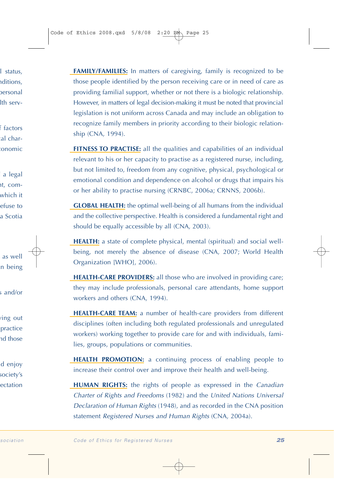**FAMILY/FAMILIES:** In matters of caregiving, family is recognized to be those people identified by the person receiving care or in need of care as providing familial support, whether or not there is a biologic relationship. However, in matters of legal decision-making it must be noted that provincial legislation is not uniform across Canada and may include an obligation to recognize family members in priority according to their biologic relationship (CNA, 1994).

**FITNESS TO PRACTISE:** all the qualities and capabilities of an individual relevant to his or her capacity to practise as a registered nurse, including, but not limited to, freedom from any cognitive, physical, psychological or emotional condition and dependence on alcohol or drugs that impairs his or her ability to practise nursing (CRNBC, 2006a; CRNNS, 2006b).

**GLOBAL HEALTH:** the optimal well-being of all humans from the individual and the collective perspective. Health is considered a fundamental right and should be equally accessible by all (CNA, 2003).

**HEALTH:** a state of complete physical, mental (spiritual) and social wellbeing, not merely the absence of disease (CNA, 2007; World Health Organization [WHO], 2006).

**HEALTH-CARE PROVIDERS:** all those who are involved in providing care; they may include professionals, personal care attendants, home support workers and others (CNA, 1994).

**HEALTH-CARE TEAM:** a number of health-care providers from different disciplines (often including both regulated professionals and unregulated workers) working together to provide care for and with individuals, families, groups, populations or communities.

**HEALTH PROMOTION:** a continuing process of enabling people to increase their control over and improve their health and well-being.

**HUMAN RIGHTS:** the rights of people as expressed in the *Canadian Charter of Rights and Freedoms* (1982) and the *United Nations Universal Declaration of Human Rights* (1948), and as recorded in the CNA position statement *Registered Nurses and Human Rights* (CNA, 2004a).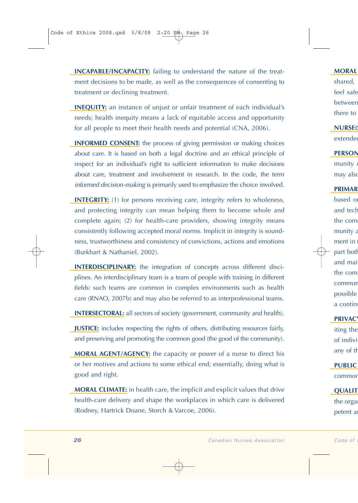**INCAPABLE/INCAPACITY:** failing to understand the nature of the treatment decisions to be made, as well as the consequences of consenting to treatment or declining treatment.

**INEQUITY:** an instance of unjust or unfair treatment of each individual's needs; health inequity means a lack of equitable access and opportunity for all people to meet their health needs and potential (CNA, 2006).

**INFORMED CONSENT:** the process of giving permission or making choices about care. It is based on both a legal doctrine and an ethical principle of respect for an individual's right to sufficient information to make decisions about care, treatment and involvement in research. In the code, the term *informed decision-making* is primarily used to emphasize the choice involved.

**INTEGRITY:** (1) for persons receiving care, integrity refers to wholeness, and protecting integrity can mean helping them to become whole and complete again; (2) for health-care providers, showing integrity means consistently following accepted moral norms. Implicit in integrity is soundness, trustworthiness and consistency of convictions, actions and emotions (Burkhart & Nathaniel, 2002).

**INTERDISCIPLINARY:** the integration of concepts across different disciplines. An interdisciplinary team is a team of people with training in different fields: such teams are common in complex environments such as health care (RNAO, 2007b) and may also be referred to as interprofessional teams.

**INTERSECTORAL:** all sectors of society (government, community and health).

**JUSTICE:** includes respecting the rights of others, distributing resources fairly, and preserving and promoting the common good (the good of the community).

**MORAL AGENT/AGENCY:** the capacity or power of a nurse to direct his or her motives and actions to some ethical end; essentially, doing what is good and right.

**MORAL CLIMATE:** in health care, the implicit and explicit values that drive health-care delivery and shape the workplaces in which care is delivered (Rodney, Hartrick Doane, Storch & Varcoe, 2006).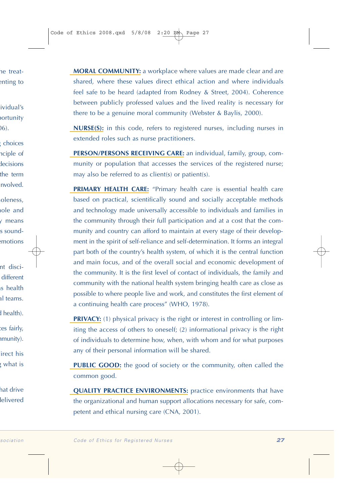**MORAL COMMUNITY:** a workplace where values are made clear and are shared, where these values direct ethical action and where individuals feel safe to be heard (adapted from Rodney & Street, 2004). Coherence between publicly professed values and the lived reality is necessary for there to be a genuine moral community (Webster & Baylis, 2000).

**NURSE(S):** in this code, refers to registered nurses, including nurses in extended roles such as nurse practitioners.

**PERSON/PERSONS RECEIVING CARE:** an individual, family, group, community or population that accesses the services of the registered nurse; may also be referred to as client(s) or patient(s).

**PRIMARY HEALTH CARE:** "Primary health care is essential health care based on practical, scientifically sound and socially acceptable methods and technology made universally accessible to individuals and families in the community through their full participation and at a cost that the community and country can afford to maintain at every stage of their development in the spirit of self-reliance and self-determination. It forms an integral part both of the country's health system, of which it is the central function and main focus, and of the overall social and economic development of the community. It is the first level of contact of individuals, the family and community with the national health system bringing health care as close as possible to where people live and work, and constitutes the first element of a continuing health care process" (WHO, 1978).

**PRIVACY:** (1) physical privacy is the right or interest in controlling or limiting the access of others to oneself; (2) informational privacy is the right of individuals to determine how, when, with whom and for what purposes any of their personal information will be shared.

**PUBLIC GOOD:** the good of society or the community, often called the common good.

**QUALITY PRACTICE ENVIRONMENTS:** practice environments that have the organizational and human support allocations necessary for safe, competent and ethical nursing care (CNA, 2001).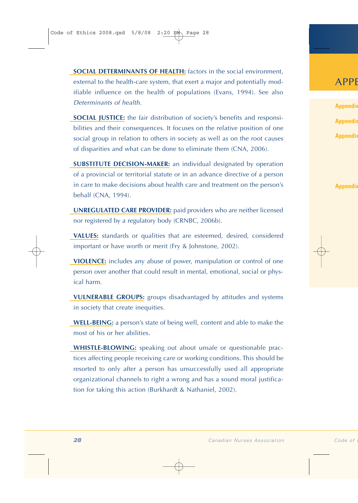**SOCIAL DETERMINANTS OF HEALTH:** factors in the social environment, external to the health-care system, that exert a major and potentially modifiable influence on the health of populations (Evans, 1994). See also *Determinants of health.*

**SOCIAL JUSTICE:** the fair distribution of society's benefits and responsibilities and their consequences. It focuses on the relative position of one social group in relation to others in society as well as on the root causes of disparities and what can be done to eliminate them (CNA, 2006).

**SUBSTITUTE DECISION-MAKER:** an individual designated by operation of a provincial or territorial statute or in an advance directive of a person in care to make decisions about health care and treatment on the person's behalf (CNA, 1994).

**UNREGULATED CARE PROVIDER:** paid providers who are neither licensed nor registered by a regulatory body (CRNBC, 2006b).

**VALUES:** standards or qualities that are esteemed, desired, considered important or have worth or merit (Fry & Johnstone, 2002).

**VIOLENCE:** includes any abuse of power, manipulation or control of one person over another that could result in mental, emotional, social or physical harm.

**VULNERABLE GROUPS:** groups disadvantaged by attitudes and systems in society that create inequities.

**WELL-BEING:** a person's state of being well, content and able to make the most of his or her abilities.

**WHISTLE-BLOWING:** speaking out about unsafe or questionable practices affecting people receiving care or working conditions. This should be resorted to only after a person has unsuccessfully used all appropriate organizational channels to right a wrong and has a sound moral justification for taking this action (Burkhardt & Nathaniel, 2002).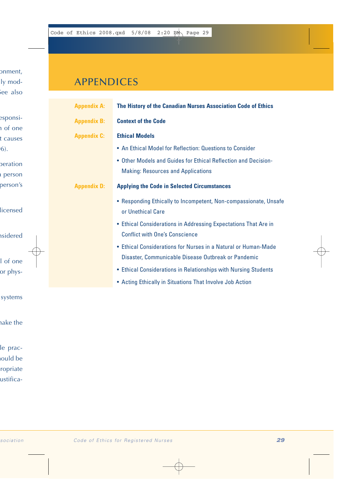# APPENDICES

| <b>Appendix A:</b> | The History of the Canadian Nurses Association Code of Ethics    |
|--------------------|------------------------------------------------------------------|
| <b>Appendix B:</b> | <b>Context of the Code</b>                                       |
| <b>Appendix C:</b> | <b>Ethical Models</b>                                            |
|                    | • An Ethical Model for Reflection: Questions to Consider         |
|                    | • Other Models and Guides for Ethical Reflection and Decision-   |
|                    | <b>Making: Resources and Applications</b>                        |
| <b>Appendix D:</b> | <b>Applying the Code in Selected Circumstances</b>               |
|                    | • Responding Ethically to Incompetent, Non-compassionate, Unsafe |
|                    | or Unethical Care                                                |
|                    | • Ethical Considerations in Addressing Expectations That Are in  |
|                    | <b>Conflict with One's Conscience</b>                            |
|                    | • Ethical Considerations for Nurses in a Natural or Human-Made   |
|                    | Disaster, Communicable Disease Outbreak or Pandemic              |
|                    | • Ethical Considerations in Relationships with Nursing Students  |
|                    | • Acting Ethically in Situations That Involve Job Action         |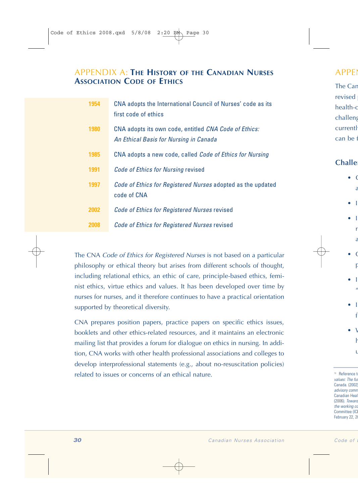## APPENDIX A: **THE HISTORY OF THE CANADIAN NURSES ASSOCIATION CODE OF ETHICS**

| 1954 | CNA adopts the International Council of Nurses' code as its<br>first code of ethics             |
|------|-------------------------------------------------------------------------------------------------|
| 1980 | CNA adopts its own code, entitled CNA Code of Ethics:<br>An Ethical Basis for Nursing in Canada |
| 1985 | CNA adopts a new code, called <i>Code of Ethics for Nursing</i>                                 |
| 1991 | <b>Code of Ethics for Nursing revised</b>                                                       |
| 1997 | Code of Ethics for Registered Nurses adopted as the updated<br>code of CNA                      |
| 2002 | Code of Ethics for Registered Nurses revised                                                    |
| 2008 | Code of Ethics for Registered Nurses revised                                                    |

The CNA *Code of Ethics for Registered Nurses* is not based on a particular philosophy or ethical theory but arises from different schools of thought, including relational ethics, an ethic of care, principle-based ethics, feminist ethics, virtue ethics and values. It has been developed over time by nurses for nurses, and it therefore continues to have a practical orientation supported by theoretical diversity.

CNA prepares position papers, practice papers on specific ethics issues, booklets and other ethics-related resources, and it maintains an electronic mailing list that provides a forum for dialogue on ethics in nursing. In addition, CNA works with other health professional associations and colleges to develop interprofessional statements (e.g., about no-resuscitation policies) related to issues or concerns of an ethical nature.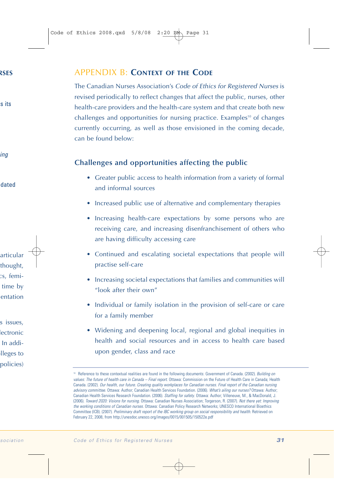## APPENDIX B: **CONTEXT OF THE CODE**

The Canadian Nurses Association's *Code of Ethics for Registered Nurses* is revised periodically to reflect changes that affect the public, nurses, other health-care providers and the health-care system and that create both new challenges and opportunities for nursing practice. Examples<sup>10</sup> of changes currently occurring, as well as those envisioned in the coming decade, can be found below:

## **Challenges and opportunities affecting the public**

- Greater public access to health information from a variety of formal and informal sources
- Increased public use of alternative and complementary therapies
- Increasing health-care expectations by some persons who are receiving care, and increasing disenfranchisement of others who are having difficulty accessing care
- Continued and escalating societal expectations that people will practise self-care
- Increasing societal expectations that families and communities will "look after their own"
- Individual or family isolation in the provision of self-care or care for a family member
- Widening and deepening local, regional and global inequities in health and social resources and in access to health care based upon gender, class and race

<sup>&</sup>lt;sup>10</sup> Reference to these contextual realities are found in the following documents: Government of Canada. (2002). Building on values: The future of health care in Canada – Final report. Ottawa: Commission on the Future of Health Care in Canada; Health Canada. (2002). Our health, our future. Creating quality workplaces for Canadian nurses. Final report of the Canadian nursing advisory committee. Ottawa: Author; Canadian Health Services Foundation. (2006). What's ailing our nurses? Ottawa: Author; Canadian Health Services Research Foundation. (2006). Staffing for safety. Ottawa: Author; Villeneuve, M., & MacDonald, J. (2006). Toward 2020: Visions for nursing. Ottawa: Canadian Nurses Association; Torgerson, R. (2007). Not there yet: Improving the working conditions of Canadian nurses. Ottawa: Canadian Policy Research Networks; UNESCO International Bioethics Committee (ICB). (2007). Preliminary draft report of the IBC working group on social responsibility and health. Retrieved on February 22, 2008, from http://unesdoc.unesco.org/images/0015/001505/150522e.pdf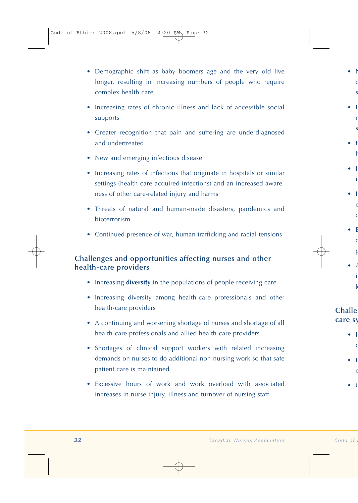- Demographic shift as baby boomers age and the very old live longer, resulting in increasing numbers of people who require complex health care
- Increasing rates of chronic illness and lack of accessible social supports
- Greater recognition that pain and suffering are underdiagnosed and undertreated
- New and emerging infectious disease
- Increasing rates of infections that originate in hospitals or similar settings (health-care acquired infections) and an increased awareness of other care-related injury and harms
- Threats of natural and human-made disasters, pandemics and bioterrorism
- Continued presence of war, human trafficking and racial tensions

## **Challenges and opportunities affecting nurses and other health-care providers**

- Increasing **diversity** in the populations of people receiving care
- Increasing diversity among health-care professionals and other health-care providers
- A continuing and worsening shortage of nurses and shortage of all health-care professionals and allied health-care providers
- Shortages of clinical support workers with related increasing demands on nurses to do additional non-nursing work so that safe patient care is maintained
- Excessive hours of work and work overload with associated increases in nurse injury, illness and turnover of nursing staff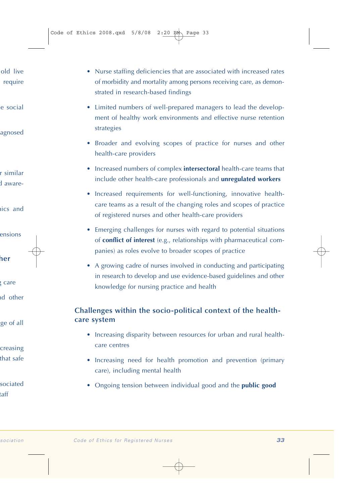- Nurse staffing deficiencies that are associated with increased rates of morbidity and mortality among persons receiving care, as demonstrated in research-based findings
- Limited numbers of well-prepared managers to lead the development of healthy work environments and effective nurse retention strategies
- Broader and evolving scopes of practice for nurses and other health-care providers
- Increased numbers of complex **intersectoral** health-care teams that include other health-care professionals and **unregulated workers**
- Increased requirements for well-functioning, innovative healthcare teams as a result of the changing roles and scopes of practice of registered nurses and other health-care providers
- Emerging challenges for nurses with regard to potential situations of **conflict of interest** (e.g., relationships with pharmaceutical companies) as roles evolve to broader scopes of practice
- A growing cadre of nurses involved in conducting and participating in research to develop and use evidence-based guidelines and other knowledge for nursing practice and health

## **Challenges within the socio-political context of the healthcare system**

- Increasing disparity between resources for urban and rural healthcare centres
- Increasing need for health promotion and prevention (primary care), including mental health
- Ongoing tension between individual good and the **public good**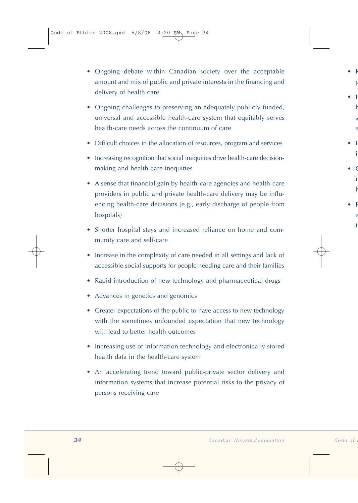- Ongoing debate within Canadian society over the acceptable amount and mix of public and private interests in the financing and delivery of health care
- Ongoing challenges to preserving an adequately publicly funded, universal and accessible health-care system that equitably serves health-care needs across the continuum of care
- Difficult choices in the allocation of resources, program and services
- Increasing recognition that social inequities drive health-care decisionmaking and health-care inequities
- A sense that financial gain by health-care agencies and health-care providers in public and private health-care delivery may be influencing health-care decisions (e.g., early discharge of people from hospitals)
- Shorter hospital stays and increased reliance on home and community care and self-care
- Increase in the complexity of care needed in all settings and lack of accessible social supports for people needing care and their families
- Rapid introduction of new technology and pharmaceutical drugs
- Advances in genetics and genomics
- Greater expectations of the public to have access to new technology with the sometimes unfounded expectation that new technology will lead to better health outcomes
- Increasing use of information technology and electronically stored health data in the health-care system
- An accelerating trend toward public-private sector delivery and information systems that increase potential risks to the privacy of persons receiving care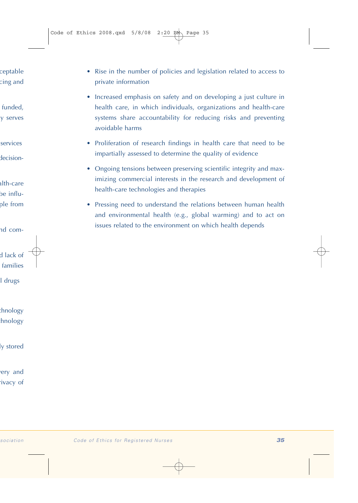- Rise in the number of policies and legislation related to access to private information
- Increased emphasis on safety and on developing a just culture in health care, in which individuals, organizations and health-care systems share accountability for reducing risks and preventing avoidable harms
- Proliferation of research findings in health care that need to be impartially assessed to determine the quality of evidence
- Ongoing tensions between preserving scientific integrity and maximizing commercial interests in the research and development of health-care technologies and therapies
- Pressing need to understand the relations between human health and environmental health (e.g., global warming) and to act on issues related to the environment on which health depends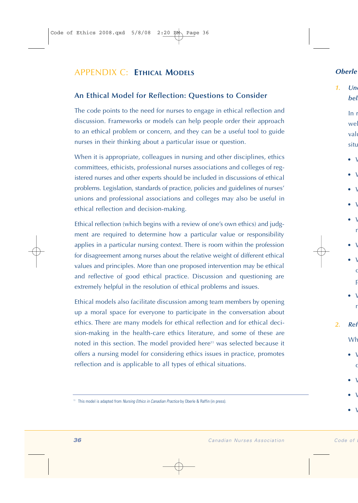## APPENDIX C: **ETHICAL MODELS**

#### **An Ethical Model for Reflection: Questions to Consider**

The code points to the need for nurses to engage in ethical reflection and discussion. Frameworks or models can help people order their approach to an ethical problem or concern, and they can be a useful tool to guide nurses in their thinking about a particular issue or question.

When it is appropriate, colleagues in nursing and other disciplines, ethics committees, ethicists, professional nurses associations and colleges of registered nurses and other experts should be included in discussions of ethical problems. Legislation, standards of practice, policies and guidelines of nurses' unions and professional associations and colleges may also be useful in ethical reflection and decision-making.

Ethical reflection (which begins with a review of one's own ethics) and judgment are required to determine how a particular value or responsibility applies in a particular nursing context. There is room within the profession for disagreement among nurses about the relative weight of different ethical values and principles. More than one proposed intervention may be ethical and reflective of good ethical practice. Discussion and questioning are extremely helpful in the resolution of ethical problems and issues.

Ethical models also facilitate discussion among team members by opening up a moral space for everyone to participate in the conversation about ethics. There are many models for ethical reflection and for ethical decision-making in the health-care ethics literature, and some of these are noted in this section. The model provided here<sup>11</sup> was selected because it offers a nursing model for considering ethics issues in practice, promotes reflection and is applicable to all types of ethical situations.

<sup>&</sup>lt;sup>11</sup> This model is adapted from *Nursing Ethics in Canadian Practice* by Oberle & Raffin (in press).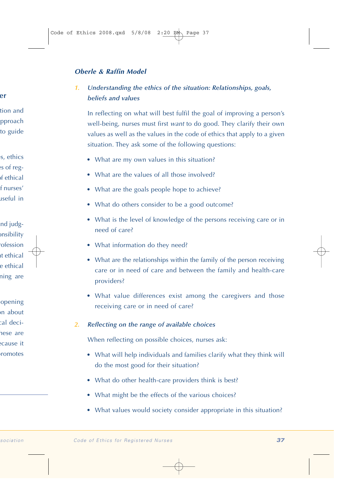#### *Oberle & Raffin Model*

## *1. Understanding the ethics of the situation: Relationships, goals, beliefs and values*

In reflecting on what will best fulfil the goal of improving a person's well-being, nurses must first *want* to do good. They clarify their own values as well as the values in the code of ethics that apply to a given situation. They ask some of the following questions:

- What are my own values in this situation?
- What are the values of all those involved?
- What are the goals people hope to achieve?
- What do others consider to be a good outcome?
- What is the level of knowledge of the persons receiving care or in need of care?
- What information do they need?
- What are the relationships within the family of the person receiving care or in need of care and between the family and health-care providers?
- What value differences exist among the caregivers and those receiving care or in need of care?

#### *2. Reflecting on the range of available choices*

When reflecting on possible choices, nurses ask:

- What will help individuals and families clarify what they think will do the most good for their situation?
- What do other health-care providers think is best?
- What might be the effects of the various choices?
- What values would society consider appropriate in this situation?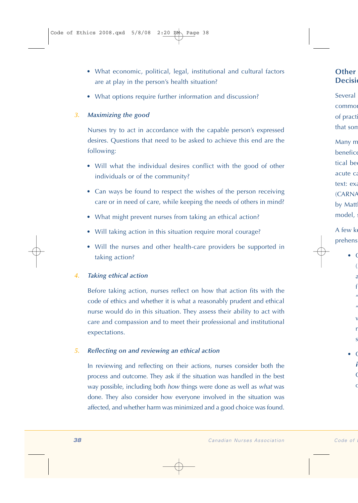- What economic, political, legal, institutional and cultural factors are at play in the person's health situation?
- What options require further information and discussion?

#### *3. Maximizing the good*

Nurses try to act in accordance with the capable person's expressed desires. Questions that need to be asked to achieve this end are the following:

- Will what the individual desires conflict with the good of other individuals or of the community?
- Can ways be found to respect the wishes of the person receiving care or in need of care, while keeping the needs of others in mind?
- What might prevent nurses from taking an ethical action?
- Will taking action in this situation require moral courage?
- Will the nurses and other health-care providers be supported in taking action?

#### *4. Taking ethical action*

Before taking action, nurses reflect on how that action fits with the code of ethics and whether it is what a reasonably prudent and ethical nurse would do in this situation. They assess their ability to act with care and compassion and to meet their professional and institutional expectations.

#### *5. Reflecting on and reviewing an ethical action*

In reviewing and reflecting on their actions, nurses consider both the process and outcome. They ask if the situation was handled in the best way possible, including both *how* things were done as well as *what* was done. They also consider how everyone involved in the situation was affected, and whether harm was minimized and a good choice was found.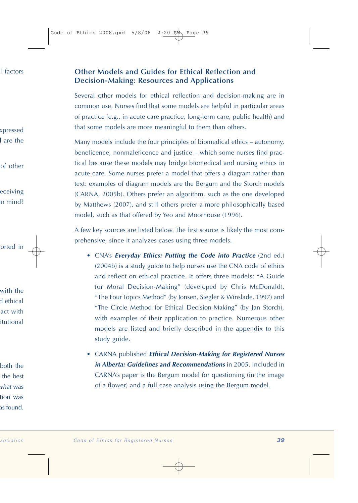#### **Other Models and Guides for Ethical Reflection and Decision-Making: Resources and Applications**

Several other models for ethical reflection and decision-making are in common use. Nurses find that some models are helpful in particular areas of practice (e.g., in acute care practice, long-term care, public health) and that some models are more meaningful to them than others.

Many models include the four principles of biomedical ethics – autonomy, beneficence, nonmaleficence and justice – which some nurses find practical because these models may bridge biomedical and nursing ethics in acute care. Some nurses prefer a model that offers a diagram rather than text: examples of diagram models are the Bergum and the Storch models (CARNA, 2005b). Others prefer an algorithm, such as the one developed by Matthews (2007), and still others prefer a more philosophically based model, such as that offered by Yeo and Moorhouse (1996).

A few key sources are listed below. The first source is likely the most comprehensive, since it analyzes cases using three models.

- CNA's *Everyday Ethics: Putting the Code into Practice* (2nd ed.) (2004b) is a study guide to help nurses use the CNA code of ethics and reflect on ethical practice. It offers three models: "A Guide for Moral Decision-Making" (developed by Chris McDonald), "The Four Topics Method" (by Jonsen, Siegler & Winslade, 1997) and "The Circle Method for Ethical Decision-Making" (by Jan Storch), with examples of their application to practice. Numerous other models are listed and briefly described in the appendix to this study guide.
- CARNA published *Ethical Decision-Making for Registered Nurses in Alberta: Guidelines and Recommendations* in 2005. Included in CARNA's paper is the Bergum model for questioning (in the image of a flower) and a full case analysis using the Bergum model.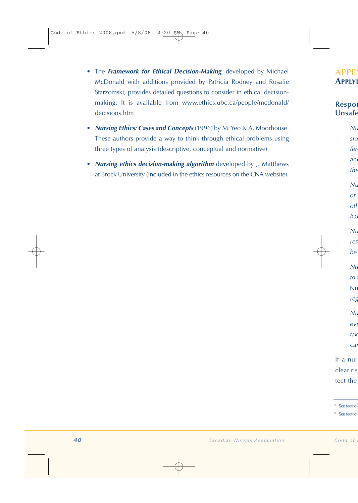- The *Framework for Ethical Decision-Making*, developed by Michael McDonald with additions provided by Patricia Rodney and Rosalie Starzomski, provides detailed questions to consider in ethical decisionmaking. It is available from www.ethics.ubc.ca/people/mcdonald/ decisions.htm
- *Nursing Ethics: Cases and Concepts* (1996) by M. Yeo & A. Moorhouse. These authors provide a way to think through ethical problems using three types of analysis (descriptive, conceptual and normative).
- *Nursing ethics decision-making algorithm* developed by J. Matthews at Brock University (included in the ethics resources on the CNA website).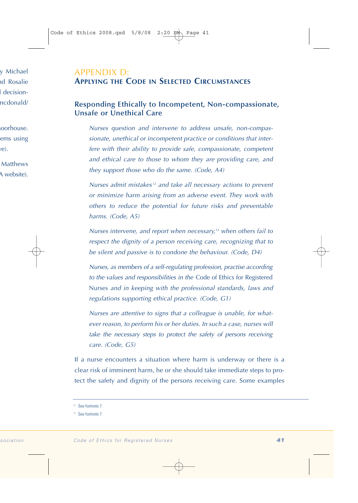## APPENDIX D: **APPLYING THE CODE IN SELECTED CIRCUMSTANCES**

#### **Responding Ethically to Incompetent, Non-compassionate, Unsafe or Unethical Care**

*Nurses question and intervene to address unsafe, non-compassionate, unethical or incompetent practice or conditions that interfere with their ability to provide safe, compassionate, competent and ethical care to those to whom they are providing care, and they support those who do the same. (Code, A4)*

*Nurses admit mistakes <sup>12</sup> and take all necessary actions to prevent or minimize harm arising from an adverse event. They work with others to reduce the potential for future risks and preventable harms. (Code, A5)*

*Nurses intervene, and report when necessary,13 when others fail to respect the dignity of a person receiving care, recognizing that to be silent and passive is to condone the behaviour. (Code, D4)*

*Nurses, as members of a self-regulating profession, practise according to the values and responsibilities in the* Code of Ethics for Registered Nurses *and in keeping with the professional standards, laws and regulations supporting ethical practice. (Code, G1)*

*Nurses are attentive to signs that a colleague is unable, for whatever reason, to perform his or her duties. In such a case, nurses will take the necessary steps to protect the safety of persons receiving care. (Code, G5)*

If a nurse encounters a situation where harm is underway or there is a clear risk of imminent harm, he or she should take immediate steps to protect the safety and dignity of the persons receiving care. Some examples

<sup>12</sup> See footnote 7.

<sup>&</sup>lt;sup>13</sup> See footnote 7.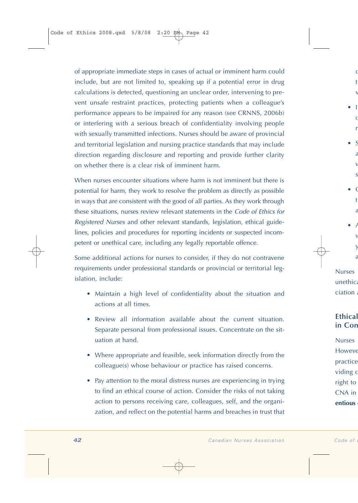of appropriate immediate steps in cases of actual or imminent harm could include, but are not limited to, speaking up if a potential error in drug calculations is detected, questioning an unclear order, intervening to prevent unsafe restraint practices, protecting patients when a colleague's performance appears to be impaired for any reason (see CRNNS, 2006b) or interfering with a serious breach of confidentiality involving people with sexually transmitted infections. Nurses should be aware of provincial and territorial legislation and nursing practice standards that may include direction regarding disclosure and reporting and provide further clarity on whether there is a clear risk of imminent harm.

When nurses encounter situations where harm is not imminent but there is potential for harm, they work to resolve the problem as directly as possible in ways that are consistent with the good of all parties. As they work through these situations, nurses review relevant statements in the *Code of Ethics for Registered Nurses* and other relevant standards, legislation, ethical guidelines, policies and procedures for reporting incidents or suspected incompetent or unethical care, including any legally reportable offence.

Some additional actions for nurses to consider, if they do not contravene requirements under professional standards or provincial or territorial legislation, include:

- Maintain a high level of confidentiality about the situation and actions at all times.
- Review all information available about the current situation. Separate personal from professional issues. Concentrate on the situation at hand.
- Where appropriate and feasible, seek information directly from the colleague(s) whose behaviour or practice has raised concerns.
- Pay attention to the moral distress nurses are experiencing in trying to find an ethical course of action. Consider the risks of not taking action to persons receiving care, colleagues, self, and the organization, and reflect on the potential harms and breaches in trust that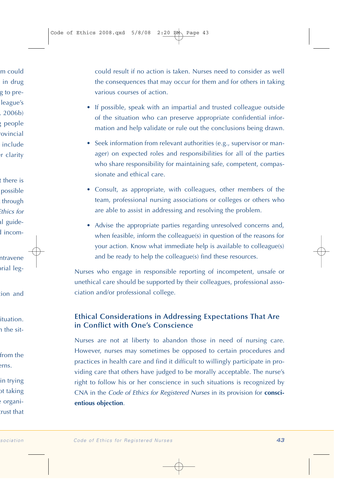could result if no action is taken. Nurses need to consider as well the consequences that may occur for them and for others in taking various courses of action.

- If possible, speak with an impartial and trusted colleague outside of the situation who can preserve appropriate confidential information and help validate or rule out the conclusions being drawn.
- Seek information from relevant authorities (e.g., supervisor or manager) on expected roles and responsibilities for all of the parties who share responsibility for maintaining safe, competent, compassionate and ethical care.
- Consult, as appropriate, with colleagues, other members of the team, professional nursing associations or colleges or others who are able to assist in addressing and resolving the problem.
- Advise the appropriate parties regarding unresolved concerns and, when feasible, inform the colleague(s) in question of the reasons for your action. Know what immediate help is available to colleague(s) and be ready to help the colleague(s) find these resources.

Nurses who engage in responsible reporting of incompetent, unsafe or unethical care should be supported by their colleagues, professional association and/or professional college.

#### **Ethical Considerations in Addressing Expectations That Are in Conflict with One's Conscience**

Nurses are not at liberty to abandon those in need of nursing care. However, nurses may sometimes be opposed to certain procedures and practices in health care and find it difficult to willingly participate in providing care that others have judged to be morally acceptable. The nurse's right to follow his or her conscience in such situations is recognized by CNA in the *Code of Ethics for Registered Nurses* in its provision for **conscientious objection**.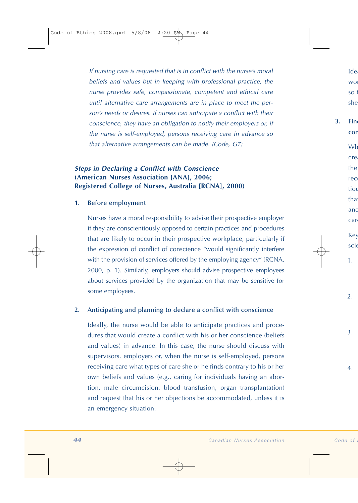*If nursing care is requested that is in conflict with the nurse's moral beliefs and values but in keeping with professional practice, the nurse provides safe, compassionate, competent and ethical care until alternative care arrangements are in place to meet the person's needs or desires. If nurses can anticipate a conflict with their conscience, they have an obligation to notify their employers or, if the nurse is self-employed, persons receiving care in advance so that alternative arrangements can be made. (Code, G7)*

#### *Steps in Declaring a Conflict with Conscience*  **(American Nurses Association [ANA], 2006; Registered College of Nurses, Australia [RCNA], 2000)**

#### **1. Before employment**

Nurses have a moral responsibility to advise their prospective employer if they are conscientiously opposed to certain practices and procedures that are likely to occur in their prospective workplace, particularly if the expression of conflict of conscience "would significantly interfere with the provision of services offered by the employing agency" (RCNA, 2000, p. 1). Similarly, employers should advise prospective employees about services provided by the organization that may be sensitive for some employees.

#### **2. Anticipating and planning to declare a conflict with conscience**

Ideally, the nurse would be able to anticipate practices and procedures that would create a conflict with his or her conscience (beliefs and values) in advance. In this case, the nurse should discuss with supervisors, employers or, when the nurse is self-employed, persons receiving care what types of care she or he finds contrary to his or her own beliefs and values (e.g., caring for individuals having an abortion, male circumcision, blood transfusion, organ transplantation) and request that his or her objections be accommodated, unless it is an emergency situation.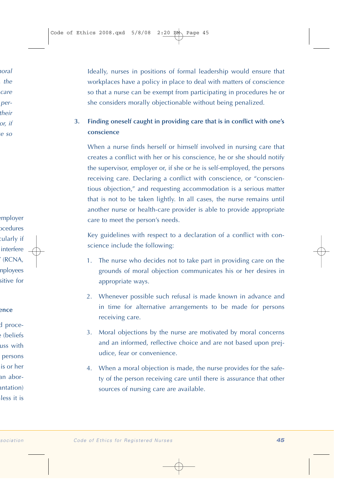Ideally, nurses in positions of formal leadership would ensure that workplaces have a policy in place to deal with matters of conscience so that a nurse can be exempt from participating in procedures he or she considers morally objectionable without being penalized.

## **3. Finding oneself caught in providing care that is in conflict with one's conscience**

When a nurse finds herself or himself involved in nursing care that creates a conflict with her or his conscience, he or she should notify the supervisor, employer or, if she or he is self-employed, the persons receiving care. Declaring a conflict with conscience, or "conscientious objection," and requesting accommodation is a serious matter that is not to be taken lightly. In all cases, the nurse remains until another nurse or health-care provider is able to provide appropriate care to meet the person's needs.

Key guidelines with respect to a declaration of a conflict with conscience include the following:

- 1. The nurse who decides not to take part in providing care on the grounds of moral objection communicates his or her desires in appropriate ways.
- 2. Whenever possible such refusal is made known in advance and in time for alternative arrangements to be made for persons receiving care.
- 3. Moral objections by the nurse are motivated by moral concerns and an informed, reflective choice and are not based upon prejudice, fear or convenience.
- 4. When a moral objection is made, the nurse provides for the safety of the person receiving care until there is assurance that other sources of nursing care are available.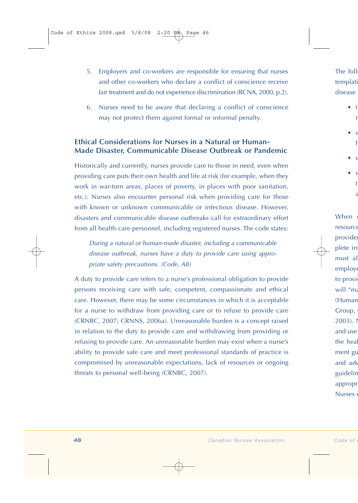- 5. Employers and co-workers are responsible for ensuring that nurses and other co-workers who declare a conflict of conscience receive fair treatment and do not experience discrimination (RCNA, 2000, p.2).
- 6. Nurses need to be aware that declaring a conflict of conscience may not protect them against formal or informal penalty.

#### **Ethical Considerations for Nurses in a Natural or Human-Made Disaster, Communicable Disease Outbreak or Pandemic**

Historically and currently, nurses provide care to those in need, even when providing care puts their own health and life at risk (for example, when they work in war-torn areas, places of poverty, in places with poor sanitation, etc.). Nurses also encounter personal risk when providing care for those with known or unknown communicable or infectious disease. However, disasters and communicable disease outbreaks call for extraordinary effort from all health-care personnel, including registered nurses. The code states:

*During a natural or human-made disaster, including a communicable disease outbreak, nurses have a duty to provide care using appropriate safety precautions. (Code, A8)*

A duty to provide care refers to a nurse's professional obligation to provide persons receiving care with safe, competent, compassionate and ethical care. However, there may be some circumstances in which it is acceptable for a nurse to withdraw from providing care or to refuse to provide care (CRNBC, 2007; CRNNS, 2006a). Unreasonable burden is a concept raised in relation to the duty to provide care and withdrawing from providing or refusing to provide care. An unreasonable burden may exist when a nurse's ability to provide safe care and meet professional standards of practice is compromised by unreasonable expectations, lack of resources or ongoing threats to personal well-being (CRNBC, 2007).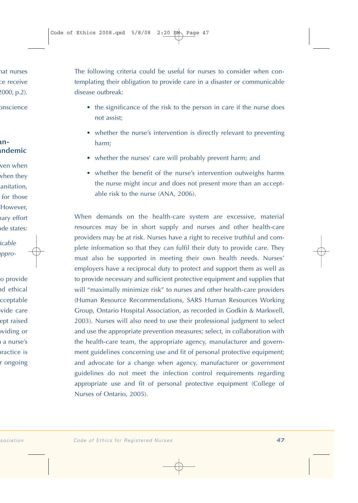The following criteria could be useful for nurses to consider when contemplating their obligation to provide care in a disaster or communicable disease outbreak:

- the significance of the risk to the person in care if the nurse does not assist;
- whether the nurse's intervention is directly relevant to preventing harm;
- whether the nurses' care will probably prevent harm; and
- whether the benefit of the nurse's intervention outweighs harms the nurse might incur and does not present more than an acceptable risk to the nurse (ANA, 2006).

When demands on the health-care system are excessive, material resources may be in short supply and nurses and other health-care providers may be at risk. Nurses have a right to receive truthful and complete information so that they can fulfil their duty to provide care. They must also be supported in meeting their own health needs. Nurses' employers have a reciprocal duty to protect and support them as well as to provide necessary and sufficient protective equipment and supplies that will "maximally minimize risk" to nurses and other health-care providers (Human Resource Recommendations, SARS Human Resources Working Group, Ontario Hospital Association, as recorded in Godkin & Markwell, 2003). Nurses will also need to use their professional judgment to select and use the appropriate prevention measures; select, in collaboration with the health-care team, the appropriate agency, manufacturer and government guidelines concerning use and fit of personal protective equipment; and advocate for a change when agency, manufacturer or government guidelines do not meet the infection control requirements regarding appropriate use and fit of personal protective equipment (College of Nurses of Ontario, 2005).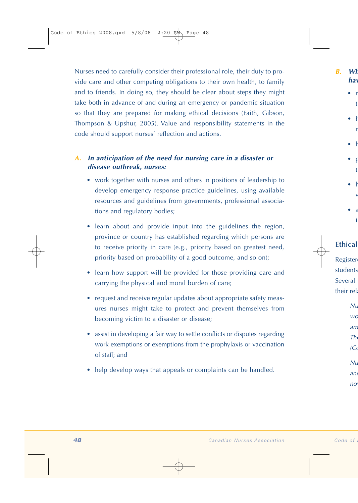Nurses need to carefully consider their professional role, their duty to provide care and other competing obligations to their own health, to family and to friends. In doing so, they should be clear about steps they might take both in advance of and during an emergency or pandemic situation so that they are prepared for making ethical decisions (Faith, Gibson, Thompson & Upshur, 2005). Value and responsibility statements in the code should support nurses' reflection and actions.

#### *A. In anticipation of the need for nursing care in a disaster or disease outbreak, nurses:*

- work together with nurses and others in positions of leadership to develop emergency response practice guidelines, using available resources and guidelines from governments, professional associations and regulatory bodies;
- learn about and provide input into the guidelines the region, province or country has established regarding which persons are to receive priority in care (e.g., priority based on greatest need, priority based on probability of a good outcome, and so on);
- learn how support will be provided for those providing care and carrying the physical and moral burden of care;
- request and receive regular updates about appropriate safety measures nurses might take to protect and prevent themselves from becoming victim to a disaster or disease;
- assist in developing a fair way to settle conflicts or disputes regarding work exemptions or exemptions from the prophylaxis or vaccination of staff; and
- help develop ways that appeals or complaints can be handled.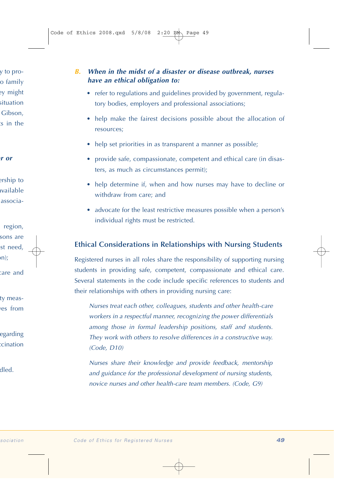#### *B. When in the midst of a disaster or disease outbreak, nurses have an ethical obligation to:*

- refer to regulations and guidelines provided by government, regulatory bodies, employers and professional associations;
- help make the fairest decisions possible about the allocation of resources;
- help set priorities in as transparent a manner as possible;
- provide safe, compassionate, competent and ethical care (in disasters, as much as circumstances permit);
- help determine if, when and how nurses may have to decline or withdraw from care; and
- advocate for the least restrictive measures possible when a person's individual rights must be restricted.

#### **Ethical Considerations in Relationships with Nursing Students**

Registered nurses in all roles share the responsibility of supporting nursing students in providing safe, competent, compassionate and ethical care. Several statements in the code include specific references to students and their relationships with others in providing nursing care:

*Nurses treat each other, colleagues, students and other health-care workers in a respectful manner, recognizing the power differentials among those in formal leadership positions, staff and students. They work with others to resolve differences in a constructive way. (Code, D10)*

*Nurses share their knowledge and provide feedback, mentorship and guidance for the professional development of nursing students, novice nurses and other health-care team members. (Code, G9)*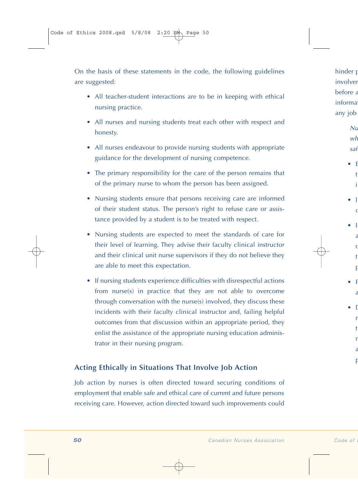On the basis of these statements in the code, the following guidelines are suggested:

- All teacher-student interactions are to be in keeping with ethical nursing practice.
- All nurses and nursing students treat each other with respect and honesty.
- All nurses endeavour to provide nursing students with appropriate guidance for the development of nursing competence.
- The primary responsibility for the care of the person remains that of the primary nurse to whom the person has been assigned.
- Nursing students ensure that persons receiving care are informed of their student status. The person's right to refuse care or assistance provided by a student is to be treated with respect.
- Nursing students are expected to meet the standards of care for their level of learning. They advise their faculty clinical instructor and their clinical unit nurse supervisors if they do not believe they are able to meet this expectation.
- If nursing students experience difficulties with disrespectful actions from nurse(s) in practice that they are not able to overcome through conversation with the nurse(s) involved, they discuss these incidents with their faculty clinical instructor and, failing helpful outcomes from that discussion within an appropriate period, they enlist the assistance of the appropriate nursing education administrator in their nursing program.

#### **Acting Ethically in Situations That Involve Job Action**

Job action by nurses is often directed toward securing conditions of employment that enable safe and ethical care of current and future persons receiving care. However, action directed toward such improvements could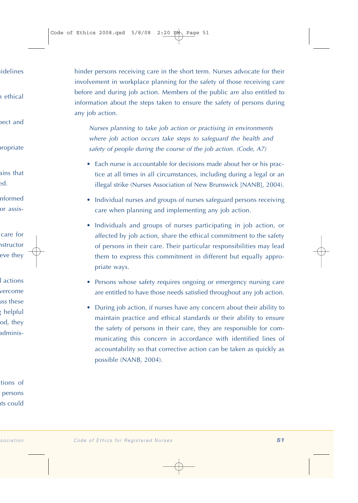hinder persons receiving care in the short term. Nurses advocate for their involvement in workplace planning for the safety of those receiving care before and during job action. Members of the public are also entitled to information about the steps taken to ensure the safety of persons during any job action.

*Nurses planning to take job action or practising in environments where job action occurs take steps to safeguard the health and safety of people during the course of the job action. (Code, A7)*

- Each nurse is accountable for decisions made about her or his practice at all times in all circumstances, including during a legal or an illegal strike (Nurses Association of New Brunswick [NANB], 2004).
- Individual nurses and groups of nurses safeguard persons receiving care when planning and implementing any job action.
- Individuals and groups of nurses participating in job action, or affected by job action, share the ethical commitment to the safety of persons in their care. Their particular responsibilities may lead them to express this commitment in different but equally appropriate ways.
- Persons whose safety requires ongoing or emergency nursing care are entitled to have those needs satisfied throughout any job action.
- During job action, if nurses have any concern about their ability to maintain practice and ethical standards or their ability to ensure the safety of persons in their care, they are responsible for communicating this concern in accordance with identified lines of accountability so that corrective action can be taken as quickly as possible (NANB, 2004).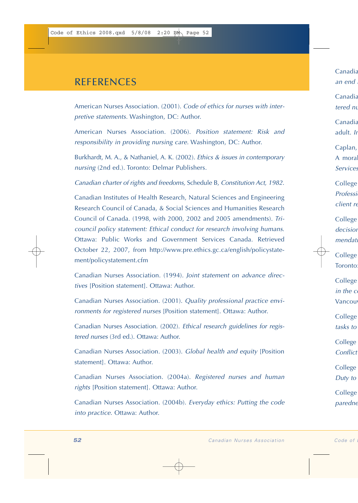# **REFERENCES**

American Nurses Association. (2001). *Code of ethics for nurses with interpretive statements.* Washington, DC: Author.

American Nurses Association. (2006). *Position statement: Risk and responsibility in providing nursing care.* Washington, DC: Author.

Burkhardt, M. A., & Nathaniel, A. K. (2002). *Ethics & issues in contemporary nursing* (2nd ed.). Toronto: Delmar Publishers.

*Canadian charter of rights and freedoms,* Schedule B, *Constitution Act, 1982.*

Canadian Institutes of Health Research, Natural Sciences and Engineering Research Council of Canada, & Social Sciences and Humanities Research Council of Canada. (1998, with 2000, 2002 and 2005 amendments). *Tricouncil policy statement: Ethical conduct for research involving humans*. Ottawa: Public Works and Government Services Canada. Retrieved October 22, 2007, from http://www.pre.ethics.gc.ca/english/policystatement/policystatement.cfm

Canadian Nurses Association. (1994). *Joint statement on advance directives* [Position statement]. Ottawa: Author.

Canadian Nurses Association. (2001). *Quality professional practice environments for registered nurses* [Position statement]. Ottawa: Author.

Canadian Nurses Association. (2002). *Ethical research guidelines for registered nurses* (3rd ed.). Ottawa: Author.

Canadian Nurses Association. (2003). *Global health and equity* [Position statement]. Ottawa: Author.

Canadian Nurses Association. (2004a). *Registered nurses and human rights* [Position statement]. Ottawa: Author.

Canadian Nurses Association. (2004b). *Everyday ethics: Putting the code into practice*. Ottawa: Author.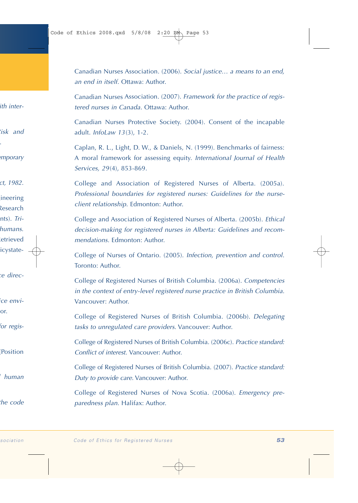Canadian Nurses Association. (2006). *Social justice… a means to an end, an end in itself.* Ottawa: Author.

Canadian Nurses Association. (2007). *Framework for the practice of registered nurses in Canada.* Ottawa: Author.

Canadian Nurses Protective Society. (2004). Consent of the incapable adult. *InfoLaw 13*(3), 1-2.

Caplan, R. L., Light, D. W., & Daniels, N. (1999). Benchmarks of fairness: A moral framework for assessing equity. *International Journal of Health Services, 29*(4), 853-869.

College and Association of Registered Nurses of Alberta. (2005a). *Professional boundaries for registered nurses: Guidelines for the nurseclient relationship.* Edmonton: Author.

College and Association of Registered Nurses of Alberta. (2005b). *Ethical decision-making for registered nurses in Alberta: Guidelines and recommendations.* Edmonton: Author.

College of Nurses of Ontario. (2005). *Infection, prevention and control.* Toronto: Author.

College of Registered Nurses of British Columbia. (2006a). *Competencies in the context of entry-level registered nurse practice in British Columbia.* Vancouver: Author.

College of Registered Nurses of British Columbia. (2006b). *Delegating tasks to unregulated care providers*. Vancouver: Author.

College of Registered Nurses of British Columbia. (2006c). *Practice standard: Conflict of interest.* Vancouver: Author.

College of Registered Nurses of British Columbia. (2007). *Practice standard: Duty to provide care*. Vancouver: Author.

College of Registered Nurses of Nova Scotia. (2006a). *Emergency preparedness plan.* Halifax: Author.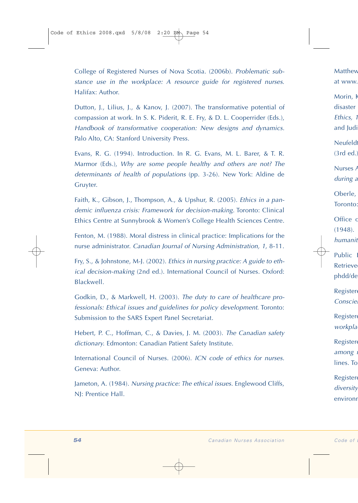College of Registered Nurses of Nova Scotia. (2006b). *Problematic substance use in the workplace: A resource guide for registered nurses*. Halifax: Author.

Dutton, J., Lilius, J., & Kanov, J. (2007). The transformative potential of compassion at work. In S. K. Piderit, R. E. Fry, & D. L. Cooperrider (Eds.), *Handbook of transformative cooperation: New designs and dynamics.* Palo Alto, CA: Stanford University Press.

Evans, R. G. (1994). Introduction. In R. G. Evans, M. L. Barer, & T. R. Marmor (Eds.), *Why are some people healthy and others are not? The determinants of health of populations* (pp. 3-26). New York: Aldine de Gruyter.

Faith, K., Gibson, J., Thompson, A., & Upshur, R. (2005). *Ethics in a pandemic influenza crisis: Framework for decision-making.* Toronto: Clinical Ethics Centre at Sunnybrook & Women's College Health Sciences Centre.

Fenton, M. (1988). Moral distress in clinical practice: Implications for the nurse administrator. *Canadian Journal of Nursing Administration, 1*, 8-11.

Fry, S., & Johnstone, M-J. (2002). *Ethics in nursing practice: A guide to ethical decision-making* (2nd ed.). International Council of Nurses. Oxford: Blackwell.

Godkin, D., & Markwell, H. (2003). *The duty to care of healthcare professionals: Ethical issues and guidelines for policy development*. Toronto: Submission to the SARS Expert Panel Secretariat.

Hebert, P. C., Hoffman, C., & Davies, J. M. (2003). *The Canadian safety dictionary.* Edmonton: Canadian Patient Safety Institute.

International Council of Nurses. (2006). *ICN code of ethics for nurses.* Geneva: Author.

Jameton, A. (1984). *Nursing practice: The ethical issues.* Englewood Cliffs, NI: Prentice Hall.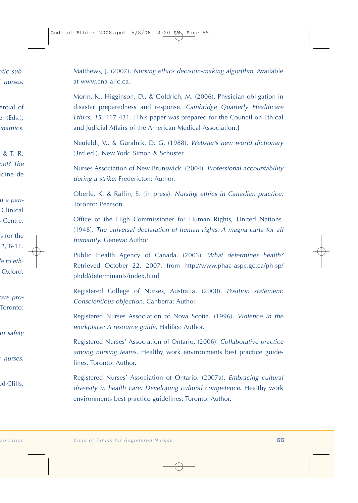Matthews, J. (2007). *Nursing ethics decision-making algorithm*. Available at www.cna-aiic.ca.

Morin, K., Higginson, D., & Goldrich, M. (2006). Physician obligation in disaster preparedness and response. *Cambridge Quarterly Healthcare Ethics, 15*, 417-431. [This paper was prepared for the Council on Ethical and Judicial Affairs of the American Medical Association.]

Neufeldt, V., & Guralnik, D. G. (1988). *Webster's new world dictionary* (3rd ed.). New York: Simon & Schuster.

Nurses Association of New Brunswick. (2004). *Professional accountability during a strike.* Fredericton: Author.

Oberle, K. & Raffin, S. (in press). *Nursing ethics in Canadian practice.* Toronto: Pearson.

Office of the High Commissioner for Human Rights, United Nations. (1948). *The universal declaration of human rights: A magna carta for all humanity.* Geneva: Author.

Public Health Agency of Canada. (2003). *What determines health?* Retrieved October 22, 2007, from http://www.phac-aspc.gc.ca/ph-sp/ phdd/determinants/index.html

Registered College of Nurses, Australia. (2000). *Position statement: Conscientious objection*. Canberra: Author.

Registered Nurses Association of Nova Scotia. (1996). *Violence in the workplace: A resource guide.* Halifax: Author.

Registered Nurses' Association of Ontario. (2006). *Collaborative practice among nursing teams.* Healthy work environments best practice guidelines. Toronto: Author.

Registered Nurses' Association of Ontario. (2007a). *Embracing cultural diversity in health care: Developing cultural competence*. Healthy work environments best practice guidelines. Toronto: Author.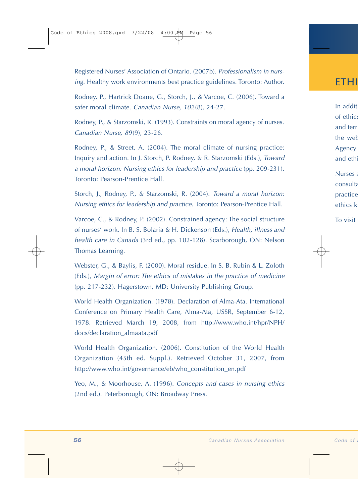Registered Nurses' Association of Ontario. (2007b). *Professionalism in nursing.* Healthy work environments best practice guidelines. Toronto: Author.

Rodney, P., Hartrick Doane, G., Storch, J., & Varcoe, C. (2006). Toward a safer moral climate. *Canadian Nurse, 102*(8), 24-27.

Rodney, P., & Starzomski, R. (1993). Constraints on moral agency of nurses. *Canadian Nurse, 89*(9), 23-26.

Rodney, P., & Street, A. (2004). The moral climate of nursing practice: Inquiry and action. In J. Storch, P. Rodney, & R. Starzomski (Eds.), *Toward a moral horizon: Nursing ethics for leadership and practice* (pp. 209-231). Toronto: Pearson-Prentice Hall.

Storch, J., Rodney, P., & Starzomski, R. (2004). *Toward a moral horizon: Nursing ethics for leadership and practice.* Toronto: Pearson-Prentice Hall.

Varcoe, C., & Rodney, P. (2002). Constrained agency: The social structure of nurses' work. In B. S. Bolaria & H. Dickenson (Eds.), *Health, illness and health care in Canada* (3rd ed., pp. 102-128). Scarborough, ON: Nelson Thomas Learning.

Webster, G., & Baylis, F. (2000). Moral residue. In S. B. Rubin & L. Zoloth (Eds.), *Margin of error: The ethics of mistakes in the practice of medicine* (pp. 217-232). Hagerstown, MD: University Publishing Group.

World Health Organization. (1978). Declaration of Alma-Ata. International Conference on Primary Health Care, Alma-Ata, USSR, September 6-12, 1978. Retrieved March 19, 2008, from http://www.who.int/hpr/NPH/ docs/declaration\_almaata.pdf

World Health Organization. (2006). Constitution of the World Health Organization (45th ed. Suppl.). Retrieved October 31, 2007, from http://www.who.int/governance/eb/who\_constitution\_en.pdf

Yeo, M., & Moorhouse, A. (1996). *Concepts and cases in nursing ethics* (2nd ed.). Peterborough, ON: Broadway Press.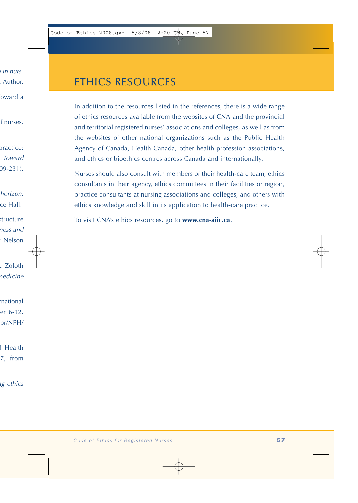# ETHICS RESOURCES

In addition to the resources listed in the references, there is a wide range of ethics resources available from the websites of CNA and the provincial and territorial registered nurses' associations and colleges, as well as from the websites of other national organizations such as the Public Health Agency of Canada, Health Canada, other health profession associations, and ethics or bioethics centres across Canada and internationally.

Nurses should also consult with members of their health-care team, ethics consultants in their agency, ethics committees in their facilities or region, practice consultants at nursing associations and colleges, and others with ethics knowledge and skill in its application to health-care practice.

To visit CNA's ethics resources, go to **www.cna-aiic.ca**.